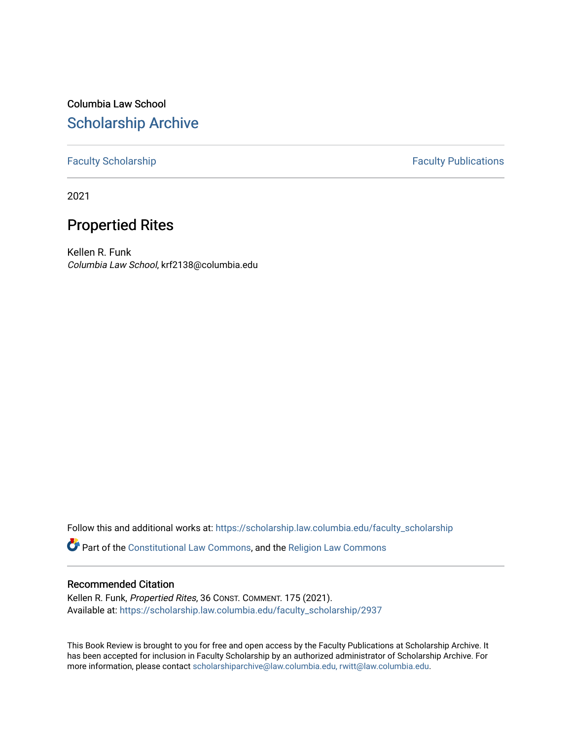# Columbia Law School [Scholarship Archive](https://scholarship.law.columbia.edu/)

## [Faculty Scholarship](https://scholarship.law.columbia.edu/faculty_scholarship) **Faculty Publications**

2021

# Propertied Rites

Kellen R. Funk Columbia Law School, krf2138@columbia.edu

Follow this and additional works at: [https://scholarship.law.columbia.edu/faculty\\_scholarship](https://scholarship.law.columbia.edu/faculty_scholarship?utm_source=scholarship.law.columbia.edu%2Ffaculty_scholarship%2F2937&utm_medium=PDF&utm_campaign=PDFCoverPages)

Part of the [Constitutional Law Commons,](http://network.bepress.com/hgg/discipline/589?utm_source=scholarship.law.columbia.edu%2Ffaculty_scholarship%2F2937&utm_medium=PDF&utm_campaign=PDFCoverPages) and the Religion Law Commons

## Recommended Citation

Kellen R. Funk, Propertied Rites, 36 CONST. COMMENT. 175 (2021). Available at: [https://scholarship.law.columbia.edu/faculty\\_scholarship/2937](https://scholarship.law.columbia.edu/faculty_scholarship/2937?utm_source=scholarship.law.columbia.edu%2Ffaculty_scholarship%2F2937&utm_medium=PDF&utm_campaign=PDFCoverPages)

This Book Review is brought to you for free and open access by the Faculty Publications at Scholarship Archive. It has been accepted for inclusion in Faculty Scholarship by an authorized administrator of Scholarship Archive. For more information, please contact [scholarshiparchive@law.columbia.edu, rwitt@law.columbia.edu](mailto:scholarshiparchive@law.columbia.edu,%20rwitt@law.columbia.edu).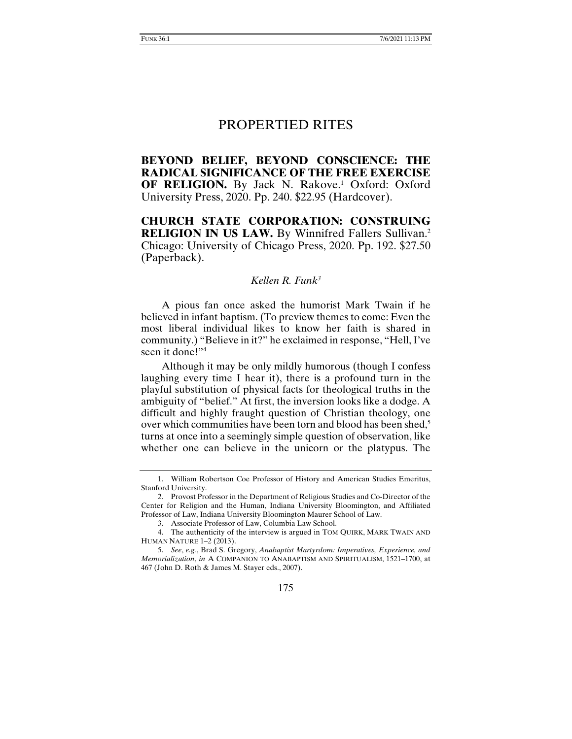## PROPERTIED RITES

**BEYOND BELIEF, BEYOND CONSCIENCE: THE RADICAL SIGNIFICANCE OF THE FREE EXERCISE OF RELIGION.** By Jack N. Rakove.<sup>1</sup> Oxford: Oxford University Press, 2020. Pp. 240. \$22.95 (Hardcover).

**CHURCH STATE CORPORATION: CONSTRUING RELIGION IN US LAW.** By Winnifred Fallers Sullivan.<sup>2</sup> Chicago: University of Chicago Press, 2020. Pp. 192. \$27.50 (Paperback).

#### *Kellen R. Funk3*

A pious fan once asked the humorist Mark Twain if he believed in infant baptism. (To preview themes to come: Even the most liberal individual likes to know her faith is shared in community.) "Believe in it?" he exclaimed in response, "Hell, I've seen it done!"<sup>4</sup>

Although it may be only mildly humorous (though I confess laughing every time I hear it), there is a profound turn in the playful substitution of physical facts for theological truths in the ambiguity of "belief." At first, the inversion looks like a dodge. A difficult and highly fraught question of Christian theology, one over which communities have been torn and blood has been shed,<sup>5</sup> turns at once into a seemingly simple question of observation, like whether one can believe in the unicorn or the platypus. The

 <sup>5.</sup> *See*, *e.g.*, Brad S. Gregory, *Anabaptist Martyrdom: Imperatives, Experience, and Memorialization*, *in* A COMPANION TO ANABAPTISM AND SPIRITUALISM, 1521–1700, at 467 (John D. Roth & James M. Stayer eds., 2007).



 <sup>1.</sup> William Robertson Coe Professor of History and American Studies Emeritus, Stanford University.

 <sup>2.</sup> Provost Professor in the Department of Religious Studies and Co-Director of the Center for Religion and the Human, Indiana University Bloomington, and Affiliated Professor of Law, Indiana University Bloomington Maurer School of Law.

 <sup>3.</sup> Associate Professor of Law, Columbia Law School.

 <sup>4.</sup> The authenticity of the interview is argued in TOM QUIRK, MARK TWAIN AND HUMAN NATURE 1–2 (2013).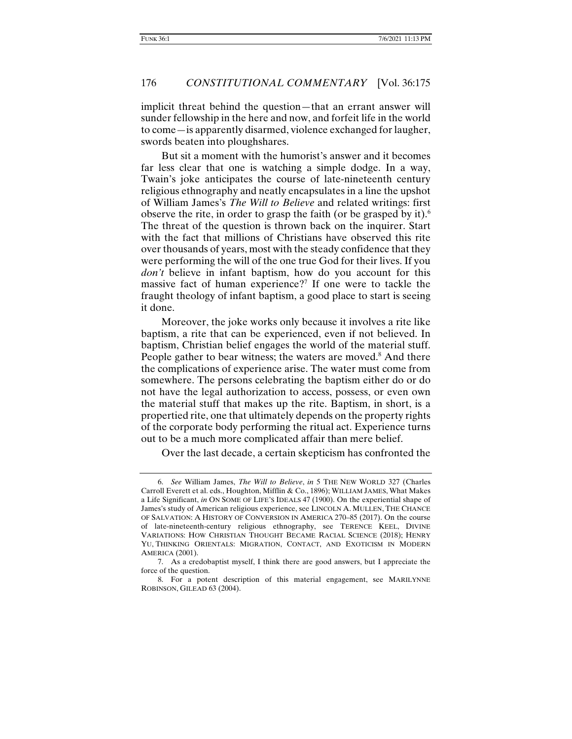implicit threat behind the question—that an errant answer will sunder fellowship in the here and now, and forfeit life in the world to come—is apparently disarmed, violence exchanged for laugher, swords beaten into ploughshares.

But sit a moment with the humorist's answer and it becomes far less clear that one is watching a simple dodge. In a way, Twain's joke anticipates the course of late-nineteenth century religious ethnography and neatly encapsulates in a line the upshot of William James's *The Will to Believe* and related writings: first observe the rite, in order to grasp the faith (or be grasped by it). $<sup>6</sup>$ </sup> The threat of the question is thrown back on the inquirer. Start with the fact that millions of Christians have observed this rite over thousands of years, most with the steady confidence that they were performing the will of the one true God for their lives. If you *don't* believe in infant baptism, how do you account for this massive fact of human experience?<sup>7</sup> If one were to tackle the fraught theology of infant baptism, a good place to start is seeing it done.

Moreover, the joke works only because it involves a rite like baptism, a rite that can be experienced, even if not believed. In baptism, Christian belief engages the world of the material stuff. People gather to bear witness; the waters are moved.<sup>8</sup> And there the complications of experience arise. The water must come from somewhere. The persons celebrating the baptism either do or do not have the legal authorization to access, possess, or even own the material stuff that makes up the rite. Baptism, in short, is a propertied rite, one that ultimately depends on the property rights of the corporate body performing the ritual act. Experience turns out to be a much more complicated affair than mere belief.

Over the last decade, a certain skepticism has confronted the

 <sup>6.</sup> *See* William James, *The Will to Believe*, *in* 5 THE NEW WORLD 327 (Charles Carroll Everett et al. eds., Houghton, Mifflin & Co., 1896); WILLIAM JAMES, What Makes a Life Significant, *in* ON SOME OF LIFE'S IDEALS 47 (1900). On the experiential shape of James's study of American religious experience, see LINCOLN A. MULLEN, THE CHANCE OF SALVATION: A HISTORY OF CONVERSION IN AMERICA 270–85 (2017). On the course of late-nineteenth-century religious ethnography, see TERENCE KEEL, DIVINE VARIATIONS: HOW CHRISTIAN THOUGHT BECAME RACIAL SCIENCE (2018); HENRY YU, THINKING ORIENTALS: MIGRATION, CONTACT, AND EXOTICISM IN MODERN AMERICA (2001).

 <sup>7.</sup> As a credobaptist myself, I think there are good answers, but I appreciate the force of the question.

 <sup>8.</sup> For a potent description of this material engagement, see MARILYNNE ROBINSON, GILEAD 63 (2004).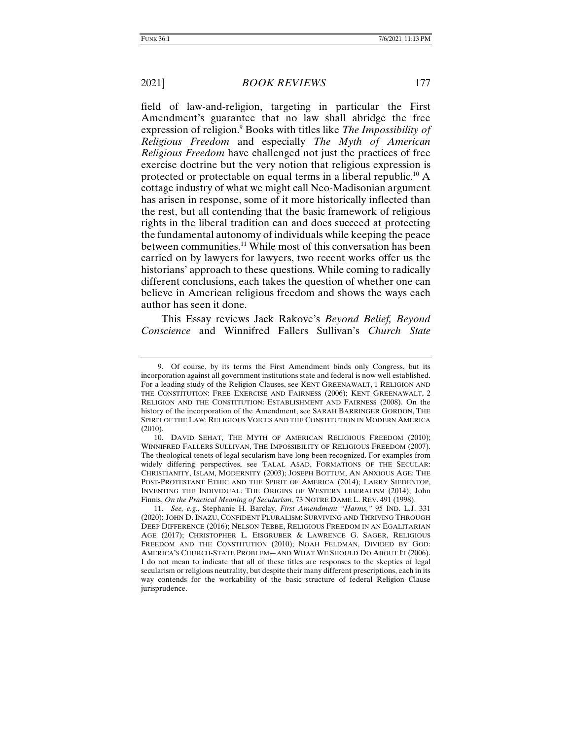field of law-and-religion, targeting in particular the First Amendment's guarantee that no law shall abridge the free expression of religion.9 Books with titles like *The Impossibility of Religious Freedom* and especially *The Myth of American Religious Freedom* have challenged not just the practices of free exercise doctrine but the very notion that religious expression is protected or protectable on equal terms in a liberal republic.<sup>10</sup> A cottage industry of what we might call Neo-Madisonian argument has arisen in response, some of it more historically inflected than the rest, but all contending that the basic framework of religious rights in the liberal tradition can and does succeed at protecting the fundamental autonomy of individuals while keeping the peace between communities.<sup>11</sup> While most of this conversation has been carried on by lawyers for lawyers, two recent works offer us the historians' approach to these questions. While coming to radically different conclusions, each takes the question of whether one can believe in American religious freedom and shows the ways each author has seen it done.

This Essay reviews Jack Rakove's *Beyond Belief, Beyond Conscience* and Winnifred Fallers Sullivan's *Church State* 

 <sup>9.</sup> Of course, by its terms the First Amendment binds only Congress, but its incorporation against all government institutions state and federal is now well established. For a leading study of the Religion Clauses, see KENT GREENAWALT, 1 RELIGION AND THE CONSTITUTION: FREE EXERCISE AND FAIRNESS (2006); KENT GREENAWALT, 2 RELIGION AND THE CONSTITUTION: ESTABLISHMENT AND FAIRNESS (2008). On the history of the incorporation of the Amendment, see SARAH BARRINGER GORDON, THE SPIRIT OF THE LAW: RELIGIOUS VOICES AND THE CONSTITUTION IN MODERN AMERICA (2010).

 <sup>10.</sup> DAVID SEHAT, THE MYTH OF AMERICAN RELIGIOUS FREEDOM (2010); WINNIFRED FALLERS SULLIVAN, THE IMPOSSIBILITY OF RELIGIOUS FREEDOM (2007). The theological tenets of legal secularism have long been recognized. For examples from widely differing perspectives, see TALAL ASAD, FORMATIONS OF THE SECULAR: CHRISTIANITY, ISLAM, MODERNITY (2003); JOSEPH BOTTUM, AN ANXIOUS AGE: THE POST-PROTESTANT ETHIC AND THE SPIRIT OF AMERICA (2014); LARRY SIEDENTOP, INVENTING THE INDIVIDUAL: THE ORIGINS OF WESTERN LIBERALISM (2014); John Finnis, *On the Practical Meaning of Secularism*, 73 NOTRE DAME L. REV. 491 (1998).

 <sup>11.</sup> *See, e.g.*, Stephanie H. Barclay, *First Amendment "Harms,"* 95 IND. L.J. 331 (2020); JOHN D. INAZU, CONFIDENT PLURALISM: SURVIVING AND THRIVING THROUGH DEEP DIFFERENCE (2016); NELSON TEBBE, RELIGIOUS FREEDOM IN AN EGALITARIAN AGE (2017); CHRISTOPHER L. EISGRUBER & LAWRENCE G. SAGER, RELIGIOUS FREEDOM AND THE CONSTITUTION (2010); NOAH FELDMAN, DIVIDED BY GOD: AMERICA'S CHURCH-STATE PROBLEM—AND WHAT WE SHOULD DO ABOUT IT (2006). I do not mean to indicate that all of these titles are responses to the skeptics of legal secularism or religious neutrality, but despite their many different prescriptions, each in its way contends for the workability of the basic structure of federal Religion Clause jurisprudence.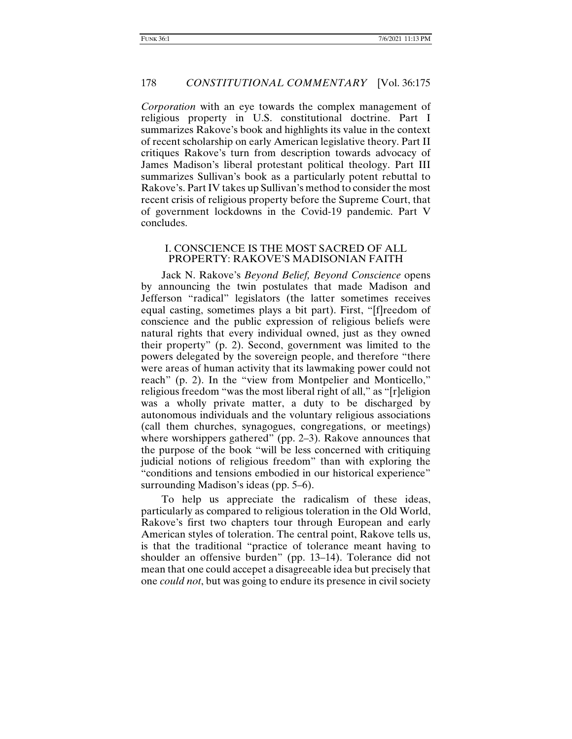*Corporation* with an eye towards the complex management of religious property in U.S. constitutional doctrine. Part I summarizes Rakove's book and highlights its value in the context of recent scholarship on early American legislative theory. Part II critiques Rakove's turn from description towards advocacy of James Madison's liberal protestant political theology. Part III summarizes Sullivan's book as a particularly potent rebuttal to Rakove's. Part IV takes up Sullivan's method to consider the most recent crisis of religious property before the Supreme Court, that of government lockdowns in the Covid-19 pandemic. Part V concludes.

#### I. CONSCIENCE IS THE MOST SACRED OF ALL PROPERTY: RAKOVE'S MADISONIAN FAITH

Jack N. Rakove's *Beyond Belief, Beyond Conscience* opens by announcing the twin postulates that made Madison and Jefferson "radical" legislators (the latter sometimes receives equal casting, sometimes plays a bit part). First, "[f]reedom of conscience and the public expression of religious beliefs were natural rights that every individual owned, just as they owned their property" (p. 2). Second, government was limited to the powers delegated by the sovereign people, and therefore "there were areas of human activity that its lawmaking power could not reach" (p. 2). In the "view from Montpelier and Monticello," religious freedom "was the most liberal right of all," as "[r]eligion was a wholly private matter, a duty to be discharged by autonomous individuals and the voluntary religious associations (call them churches, synagogues, congregations, or meetings) where worshippers gathered" (pp. 2–3). Rakove announces that the purpose of the book "will be less concerned with critiquing judicial notions of religious freedom" than with exploring the "conditions and tensions embodied in our historical experience" surrounding Madison's ideas (pp. 5–6).

To help us appreciate the radicalism of these ideas, particularly as compared to religious toleration in the Old World, Rakove's first two chapters tour through European and early American styles of toleration. The central point, Rakove tells us, is that the traditional "practice of tolerance meant having to shoulder an offensive burden" (pp. 13–14). Tolerance did not mean that one could accepet a disagreeable idea but precisely that one *could not*, but was going to endure its presence in civil society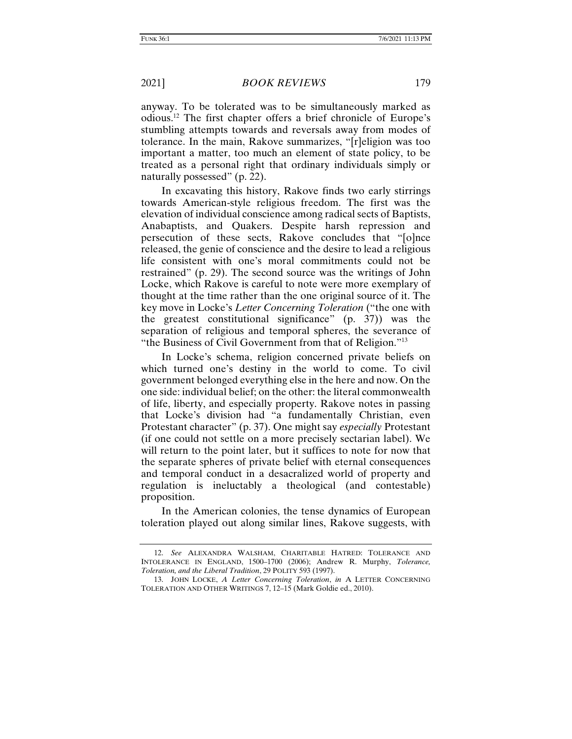anyway. To be tolerated was to be simultaneously marked as odious.12 The first chapter offers a brief chronicle of Europe's stumbling attempts towards and reversals away from modes of tolerance. In the main, Rakove summarizes, "[r]eligion was too important a matter, too much an element of state policy, to be treated as a personal right that ordinary individuals simply or naturally possessed" (p. 22).

In excavating this history, Rakove finds two early stirrings towards American-style religious freedom. The first was the elevation of individual conscience among radical sects of Baptists, Anabaptists, and Quakers. Despite harsh repression and persecution of these sects, Rakove concludes that "[o]nce released, the genie of conscience and the desire to lead a religious life consistent with one's moral commitments could not be restrained" (p. 29). The second source was the writings of John Locke, which Rakove is careful to note were more exemplary of thought at the time rather than the one original source of it. The key move in Locke's *Letter Concerning Toleration* ("the one with the greatest constitutional significance" (p. 37)) was the separation of religious and temporal spheres, the severance of "the Business of Civil Government from that of Religion."<sup>13</sup>

In Locke's schema, religion concerned private beliefs on which turned one's destiny in the world to come. To civil government belonged everything else in the here and now. On the one side: individual belief; on the other: the literal commonwealth of life, liberty, and especially property. Rakove notes in passing that Locke's division had "a fundamentally Christian, even Protestant character" (p. 37). One might say *especially* Protestant (if one could not settle on a more precisely sectarian label). We will return to the point later, but it suffices to note for now that the separate spheres of private belief with eternal consequences and temporal conduct in a desacralized world of property and regulation is ineluctably a theological (and contestable) proposition.

In the American colonies, the tense dynamics of European toleration played out along similar lines, Rakove suggests, with

 <sup>12.</sup> *See* ALEXANDRA WALSHAM, CHARITABLE HATRED: TOLERANCE AND INTOLERANCE IN ENGLAND, 1500–1700 (2006); Andrew R. Murphy, *Tolerance, Toleration, and the Liberal Tradition*, 29 POLITY 593 (1997).

 <sup>13.</sup> JOHN LOCKE, *A Letter Concerning Toleration*, *in* A LETTER CONCERNING TOLERATION AND OTHER WRITINGS 7, 12–15 (Mark Goldie ed., 2010).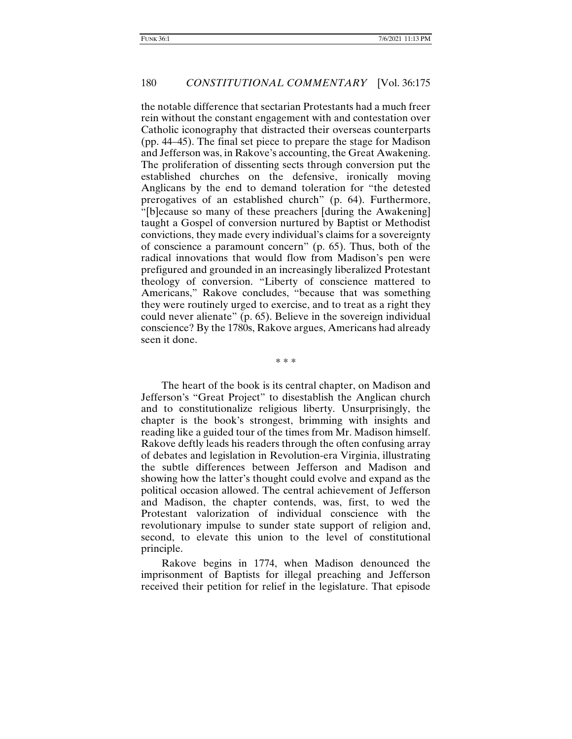the notable difference that sectarian Protestants had a much freer rein without the constant engagement with and contestation over Catholic iconography that distracted their overseas counterparts (pp. 44–45). The final set piece to prepare the stage for Madison and Jefferson was, in Rakove's accounting, the Great Awakening. The proliferation of dissenting sects through conversion put the established churches on the defensive, ironically moving Anglicans by the end to demand toleration for "the detested prerogatives of an established church" (p. 64). Furthermore, "[b]ecause so many of these preachers [during the Awakening] taught a Gospel of conversion nurtured by Baptist or Methodist convictions, they made every individual's claims for a sovereignty of conscience a paramount concern" (p. 65). Thus, both of the radical innovations that would flow from Madison's pen were prefigured and grounded in an increasingly liberalized Protestant theology of conversion. "Liberty of conscience mattered to Americans," Rakove concludes, "because that was something they were routinely urged to exercise, and to treat as a right they could never alienate" (p. 65). Believe in the sovereign individual conscience? By the 1780s, Rakove argues, Americans had already seen it done.

\* \* \*

The heart of the book is its central chapter, on Madison and Jefferson's "Great Project" to disestablish the Anglican church and to constitutionalize religious liberty. Unsurprisingly, the chapter is the book's strongest, brimming with insights and reading like a guided tour of the times from Mr. Madison himself. Rakove deftly leads his readers through the often confusing array of debates and legislation in Revolution-era Virginia, illustrating the subtle differences between Jefferson and Madison and showing how the latter's thought could evolve and expand as the political occasion allowed. The central achievement of Jefferson and Madison, the chapter contends, was, first, to wed the Protestant valorization of individual conscience with the revolutionary impulse to sunder state support of religion and, second, to elevate this union to the level of constitutional principle.

Rakove begins in 1774, when Madison denounced the imprisonment of Baptists for illegal preaching and Jefferson received their petition for relief in the legislature. That episode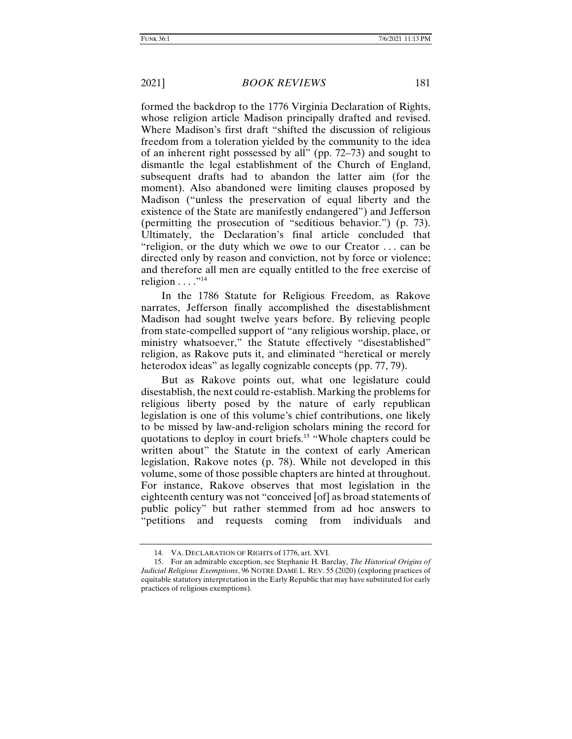formed the backdrop to the 1776 Virginia Declaration of Rights, whose religion article Madison principally drafted and revised. Where Madison's first draft "shifted the discussion of religious freedom from a toleration yielded by the community to the idea of an inherent right possessed by all" (pp. 72–73) and sought to dismantle the legal establishment of the Church of England, subsequent drafts had to abandon the latter aim (for the moment). Also abandoned were limiting clauses proposed by Madison ("unless the preservation of equal liberty and the existence of the State are manifestly endangered") and Jefferson (permitting the prosecution of "seditious behavior.") (p. 73). Ultimately, the Declaration's final article concluded that "religion, or the duty which we owe to our Creator . . . can be directed only by reason and conviction, not by force or violence; and therefore all men are equally entitled to the free exercise of religion  $\dots$ ."<sup>14</sup>

In the 1786 Statute for Religious Freedom, as Rakove narrates, Jefferson finally accomplished the disestablishment Madison had sought twelve years before. By relieving people from state-compelled support of "any religious worship, place, or ministry whatsoever," the Statute effectively "disestablished" religion, as Rakove puts it, and eliminated "heretical or merely heterodox ideas" as legally cognizable concepts (pp. 77, 79).

But as Rakove points out, what one legislature could disestablish, the next could re-establish. Marking the problems for religious liberty posed by the nature of early republican legislation is one of this volume's chief contributions, one likely to be missed by law-and-religion scholars mining the record for quotations to deploy in court briefs.15 "Whole chapters could be written about" the Statute in the context of early American legislation, Rakove notes (p. 78). While not developed in this volume, some of those possible chapters are hinted at throughout. For instance, Rakove observes that most legislation in the eighteenth century was not "conceived [of] as broad statements of public policy" but rather stemmed from ad hoc answers to "petitions and requests coming from individuals and

 <sup>14.</sup> VA. DECLARATION OF RIGHTS of 1776, art. XVI.

 <sup>15.</sup> For an admirable exception, see Stephanie H. Barclay, *The Historical Origins of Judicial Religious Exemptions*, 96 NOTRE DAME L. REV. 55 (2020) (exploring practices of equitable statutory interpretation in the Early Republic that may have substituted for early practices of religious exemptions).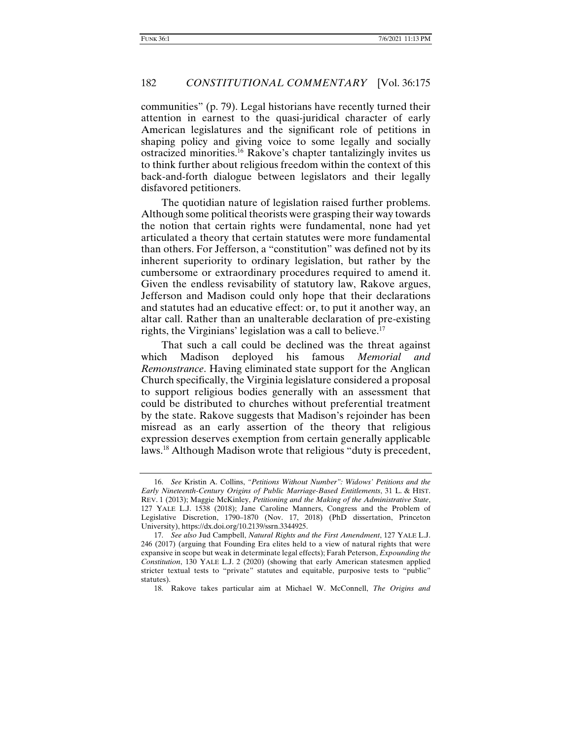communities" (p. 79). Legal historians have recently turned their attention in earnest to the quasi-juridical character of early American legislatures and the significant role of petitions in shaping policy and giving voice to some legally and socially ostracized minorities.16 Rakove's chapter tantalizingly invites us to think further about religious freedom within the context of this back-and-forth dialogue between legislators and their legally disfavored petitioners.

The quotidian nature of legislation raised further problems. Although some political theorists were grasping their way towards the notion that certain rights were fundamental, none had yet articulated a theory that certain statutes were more fundamental than others. For Jefferson, a "constitution" was defined not by its inherent superiority to ordinary legislation, but rather by the cumbersome or extraordinary procedures required to amend it. Given the endless revisability of statutory law, Rakove argues, Jefferson and Madison could only hope that their declarations and statutes had an educative effect: or, to put it another way, an altar call. Rather than an unalterable declaration of pre-existing rights, the Virginians' legislation was a call to believe.<sup>17</sup>

That such a call could be declined was the threat against which Madison deployed his famous *Memorial and Remonstrance*. Having eliminated state support for the Anglican Church specifically, the Virginia legislature considered a proposal to support religious bodies generally with an assessment that could be distributed to churches without preferential treatment by the state. Rakove suggests that Madison's rejoinder has been misread as an early assertion of the theory that religious expression deserves exemption from certain generally applicable laws.18 Although Madison wrote that religious "duty is precedent,

18. Rakove takes particular aim at Michael W. McConnell, *The Origins and* 

 <sup>16.</sup> *See* Kristin A. Collins, *"Petitions Without Number": Widows' Petitions and the Early Nineteenth-Century Origins of Public Marriage-Based Entitlements*, 31 L. & HIST. REV. 1 (2013); Maggie McKinley, *Petitioning and the Making of the Administrative State*, 127 YALE L.J. 1538 (2018); Jane Caroline Manners, Congress and the Problem of Legislative Discretion, 1790–1870 (Nov. 17, 2018) (PhD dissertation, Princeton University), https://dx.doi.org/10.2139/ssrn.3344925.

 <sup>17.</sup> *See also* Jud Campbell, *Natural Rights and the First Amendment*, 127 YALE L.J. 246 (2017) (arguing that Founding Era elites held to a view of natural rights that were expansive in scope but weak in determinate legal effects); Farah Peterson, *Expounding the Constitution*, 130 YALE L.J. 2 (2020) (showing that early American statesmen applied stricter textual tests to "private" statutes and equitable, purposive tests to "public" statutes).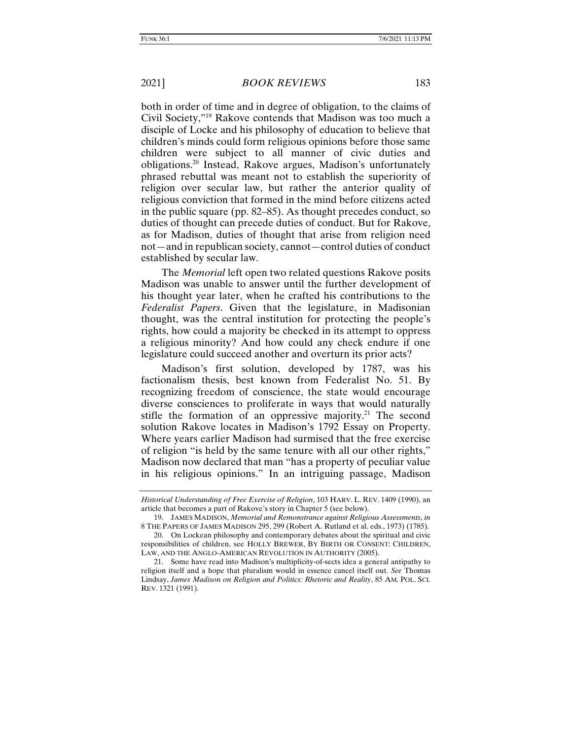both in order of time and in degree of obligation, to the claims of Civil Society,"19 Rakove contends that Madison was too much a disciple of Locke and his philosophy of education to believe that children's minds could form religious opinions before those same children were subject to all manner of civic duties and obligations.20 Instead, Rakove argues, Madison's unfortunately phrased rebuttal was meant not to establish the superiority of religion over secular law, but rather the anterior quality of religious conviction that formed in the mind before citizens acted in the public square (pp. 82–85). As thought precedes conduct, so duties of thought can precede duties of conduct. But for Rakove, as for Madison, duties of thought that arise from religion need not—and in republican society, cannot—control duties of conduct established by secular law.

The *Memorial* left open two related questions Rakove posits Madison was unable to answer until the further development of his thought year later, when he crafted his contributions to the *Federalist Papers*. Given that the legislature, in Madisonian thought, was the central institution for protecting the people's rights, how could a majority be checked in its attempt to oppress a religious minority? And how could any check endure if one legislature could succeed another and overturn its prior acts?

Madison's first solution, developed by 1787, was his factionalism thesis, best known from Federalist No. 51. By recognizing freedom of conscience, the state would encourage diverse consciences to proliferate in ways that would naturally stifle the formation of an oppressive majority.<sup>21</sup> The second solution Rakove locates in Madison's 1792 Essay on Property. Where years earlier Madison had surmised that the free exercise of religion "is held by the same tenure with all our other rights," Madison now declared that man "has a property of peculiar value in his religious opinions." In an intriguing passage, Madison

*Historical Understanding of Free Exercise of Religion*, 103 HARV. L. REV. 1409 (1990), an article that becomes a part of Rakove's story in Chapter 5 (see below).

 <sup>19.</sup> JAMES MADISON, *Memorial and Remonstrance against Religious Assessments*, *in* 8 THE PAPERS OF JAMES MADISON 295, 299 (Robert A. Rutland et al. eds., 1973) (1785).

 <sup>20.</sup> On Lockean philosophy and contemporary debates about the spiritual and civic responsibilities of children, see HOLLY BREWER, BY BIRTH OR CONSENT: CHILDREN, LAW, AND THE ANGLO-AMERICAN REVOLUTION IN AUTHORITY (2005).

 <sup>21.</sup> Some have read into Madison's multiplicity-of-sects idea a general antipathy to religion itself and a hope that pluralism would in essence cancel itself out. *See* Thomas Lindsay, *James Madison on Religion and Politics: Rhetoric and Reality*, 85 AM. POL. SCI. REV. 1321 (1991).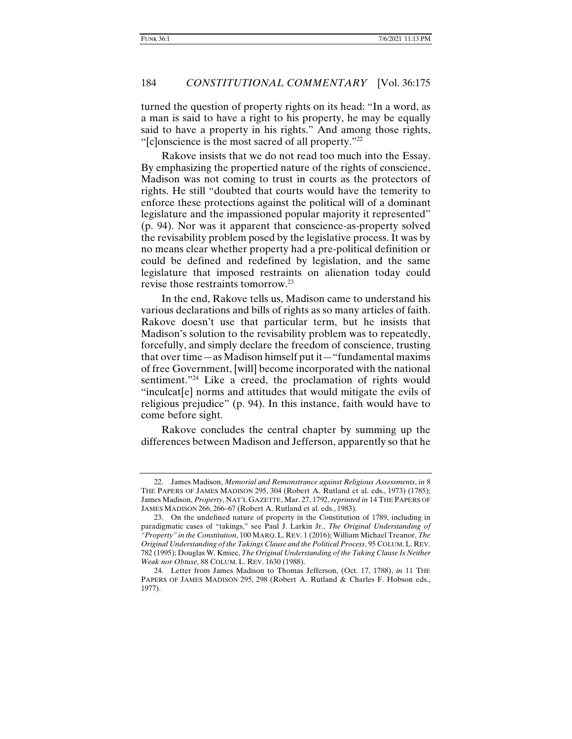turned the question of property rights on its head: "In a word, as a man is said to have a right to his property, he may be equally said to have a property in his rights." And among those rights, "[c]onscience is the most sacred of all property."22

Rakove insists that we do not read too much into the Essay. By emphasizing the propertied nature of the rights of conscience, Madison was not coming to trust in courts as the protectors of rights. He still "doubted that courts would have the temerity to enforce these protections against the political will of a dominant legislature and the impassioned popular majority it represented" (p. 94). Nor was it apparent that conscience-as-property solved the revisability problem posed by the legislative process. It was by no means clear whether property had a pre-political definition or could be defined and redefined by legislation, and the same legislature that imposed restraints on alienation today could revise those restraints tomorrow.23

In the end, Rakove tells us, Madison came to understand his various declarations and bills of rights as so many articles of faith. Rakove doesn't use that particular term, but he insists that Madison's solution to the revisability problem was to repeatedly, forcefully, and simply declare the freedom of conscience, trusting that over time—as Madison himself put it—"fundamental maxims of free Government, [will] become incorporated with the national sentiment."<sup>24</sup> Like a creed, the proclamation of rights would "inculcat[e] norms and attitudes that would mitigate the evils of religious prejudice" (p. 94). In this instance, faith would have to come before sight.

Rakove concludes the central chapter by summing up the differences between Madison and Jefferson, apparently so that he

 <sup>22.</sup> James Madison, *Memorial and Remonstrance against Religious Assessments*, *in* 8 THE PAPERS OF JAMES MADISON 295, 304 (Robert A. Rutland et al. eds., 1973) (1785); James Madison, *Property*, NAT'L GAZETTE, Mar. 27, 1792, *reprinted in* 14 THE PAPERS OF JAMES MADISON 266, 266–67 (Robert A. Rutland et al. eds., 1983).

 <sup>23.</sup> On the undefined nature of property in the Constitution of 1789, including in paradigmatic cases of "takings," see Paul J. Larkin Jr., *The Original Understanding of "Property" in the Constitution*, 100 MARQ.L. REV. 1 (2016); William Michael Treanor, *The Original Understanding of the Takings Clause and the Political Process*, 95 COLUM.L. REV. 782 (1995); Douglas W. Kmiec, *The Original Understanding of the Taking Clause Is Neither Weak nor Obtuse*, 88 COLUM. L. REV. 1630 (1988).

 <sup>24.</sup> Letter from James Madison to Thomas Jefferson, (Oct. 17, 1788), *in* 11 THE PAPERS OF JAMES MADISON 295, 298 (Robert A. Rutland & Charles F. Hobson eds., 1977).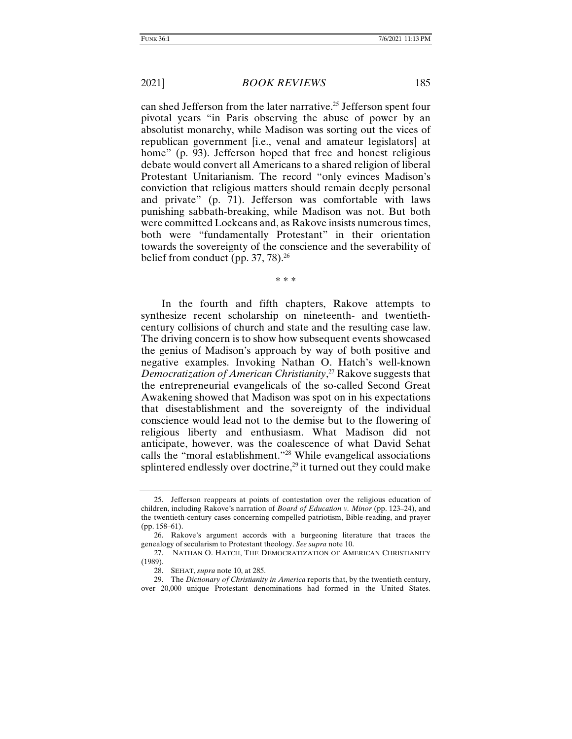can shed Jefferson from the later narrative.<sup>25</sup> Jefferson spent four pivotal years "in Paris observing the abuse of power by an absolutist monarchy, while Madison was sorting out the vices of republican government [i.e., venal and amateur legislators] at home" (p. 93). Jefferson hoped that free and honest religious debate would convert all Americans to a shared religion of liberal Protestant Unitarianism. The record "only evinces Madison's conviction that religious matters should remain deeply personal and private" (p. 71). Jefferson was comfortable with laws punishing sabbath-breaking, while Madison was not. But both were committed Lockeans and, as Rakove insists numerous times, both were "fundamentally Protestant" in their orientation towards the sovereignty of the conscience and the severability of belief from conduct (pp.  $37, 78$ )<sup>26</sup>

\* \* \*

In the fourth and fifth chapters, Rakove attempts to synthesize recent scholarship on nineteenth- and twentiethcentury collisions of church and state and the resulting case law. The driving concern is to show how subsequent events showcased the genius of Madison's approach by way of both positive and negative examples. Invoking Nathan O. Hatch's well-known *Democratization of American Christianity*, 27 Rakove suggests that the entrepreneurial evangelicals of the so-called Second Great Awakening showed that Madison was spot on in his expectations that disestablishment and the sovereignty of the individual conscience would lead not to the demise but to the flowering of religious liberty and enthusiasm. What Madison did not anticipate, however, was the coalescence of what David Sehat calls the "moral establishment."28 While evangelical associations splintered endlessly over doctrine,<sup>29</sup> it turned out they could make

 <sup>25.</sup> Jefferson reappears at points of contestation over the religious education of children, including Rakove's narration of *Board of Education v. Minor* (pp. 123–24), and the twentieth-century cases concerning compelled patriotism, Bible-reading, and prayer (pp. 158–61).

 <sup>26.</sup> Rakove's argument accords with a burgeoning literature that traces the genealogy of secularism to Protestant theology. *See supra* note 10.

 <sup>27.</sup> NATHAN O. HATCH, THE DEMOCRATIZATION OF AMERICAN CHRISTIANITY (1989).

 <sup>28.</sup> SEHAT, *supra* note 10, at 285.

 <sup>29.</sup> The *Dictionary of Christianity in America* reports that, by the twentieth century, over 20,000 unique Protestant denominations had formed in the United States.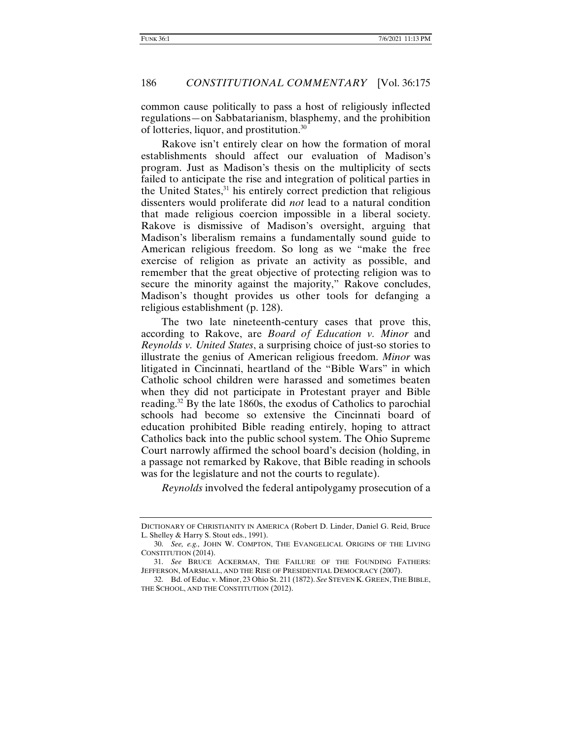common cause politically to pass a host of religiously inflected regulations—on Sabbatarianism, blasphemy, and the prohibition of lotteries, liquor, and prostitution.30

Rakove isn't entirely clear on how the formation of moral establishments should affect our evaluation of Madison's program. Just as Madison's thesis on the multiplicity of sects failed to anticipate the rise and integration of political parties in the United States, $31$  his entirely correct prediction that religious dissenters would proliferate did *not* lead to a natural condition that made religious coercion impossible in a liberal society. Rakove is dismissive of Madison's oversight, arguing that Madison's liberalism remains a fundamentally sound guide to American religious freedom. So long as we "make the free exercise of religion as private an activity as possible, and remember that the great objective of protecting religion was to secure the minority against the majority," Rakove concludes, Madison's thought provides us other tools for defanging a religious establishment (p. 128).

The two late nineteenth-century cases that prove this, according to Rakove, are *Board of Education v. Minor* and *Reynolds v. United States*, a surprising choice of just-so stories to illustrate the genius of American religious freedom. *Minor* was litigated in Cincinnati, heartland of the "Bible Wars" in which Catholic school children were harassed and sometimes beaten when they did not participate in Protestant prayer and Bible reading.32 By the late 1860s, the exodus of Catholics to parochial schools had become so extensive the Cincinnati board of education prohibited Bible reading entirely, hoping to attract Catholics back into the public school system. The Ohio Supreme Court narrowly affirmed the school board's decision (holding, in a passage not remarked by Rakove, that Bible reading in schools was for the legislature and not the courts to regulate).

*Reynolds* involved the federal antipolygamy prosecution of a

DICTIONARY OF CHRISTIANITY IN AMERICA (Robert D. Linder, Daniel G. Reid, Bruce L. Shelley & Harry S. Stout eds., 1991).

 <sup>30.</sup> *See, e.g.,* JOHN W. COMPTON, THE EVANGELICAL ORIGINS OF THE LIVING CONSTITUTION (2014).

 <sup>31.</sup> *See* BRUCE ACKERMAN, THE FAILURE OF THE FOUNDING FATHERS: JEFFERSON, MARSHALL, AND THE RISE OF PRESIDENTIAL DEMOCRACY (2007).

 <sup>32.</sup> Bd. of Educ. v. Minor, 23 Ohio St. 211 (1872). *See* STEVEN K. GREEN,THE BIBLE, THE SCHOOL, AND THE CONSTITUTION (2012).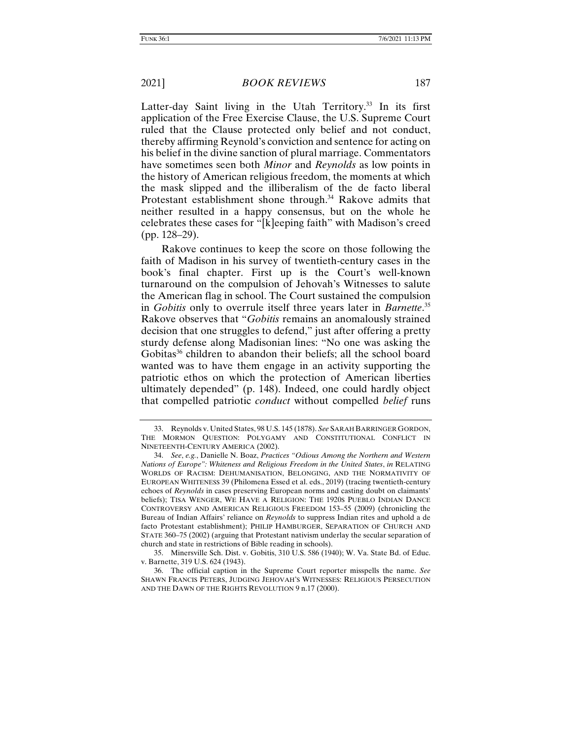Latter-day Saint living in the Utah Territory.<sup>33</sup> In its first application of the Free Exercise Clause, the U.S. Supreme Court ruled that the Clause protected only belief and not conduct, thereby affirming Reynold's conviction and sentence for acting on his belief in the divine sanction of plural marriage. Commentators have sometimes seen both *Minor* and *Reynolds* as low points in the history of American religious freedom, the moments at which the mask slipped and the illiberalism of the de facto liberal Protestant establishment shone through.<sup>34</sup> Rakove admits that neither resulted in a happy consensus, but on the whole he celebrates these cases for "[k]eeping faith" with Madison's creed (pp. 128–29).

Rakove continues to keep the score on those following the faith of Madison in his survey of twentieth-century cases in the book's final chapter. First up is the Court's well-known turnaround on the compulsion of Jehovah's Witnesses to salute the American flag in school. The Court sustained the compulsion in *Gobitis* only to overrule itself three years later in *Barnette*. 35 Rakove observes that "*Gobitis* remains an anomalously strained decision that one struggles to defend," just after offering a pretty sturdy defense along Madisonian lines: "No one was asking the Gobitas<sup>36</sup> children to abandon their beliefs; all the school board wanted was to have them engage in an activity supporting the patriotic ethos on which the protection of American liberties ultimately depended" (p. 148). Indeed, one could hardly object that compelled patriotic *conduct* without compelled *belief* runs

 35. Minersville Sch. Dist. v. Gobitis, 310 U.S. 586 (1940); W. Va. State Bd. of Educ. v. Barnette, 319 U.S. 624 (1943).

 <sup>33.</sup> Reynolds v. United States, 98 U.S. 145 (1878). *See* SARAH BARRINGER GORDON, THE MORMON QUESTION: POLYGAMY AND CONSTITUTIONAL CONFLICT IN NINETEENTH-CENTURY AMERICA (2002).

 <sup>34.</sup> *See*, *e.g.*, Danielle N. Boaz, *Practices "Odious Among the Northern and Western Nations of Europe": Whiteness and Religious Freedom in the United States*, *in* RELATING WORLDS OF RACISM: DEHUMANISATION, BELONGING, AND THE NORMATIVITY OF EUROPEAN WHITENESS 39 (Philomena Essed et al. eds., 2019) (tracing twentieth-century echoes of *Reynolds* in cases preserving European norms and casting doubt on claimants' beliefs); TISA WENGER, WE HAVE A RELIGION: THE 1920S PUEBLO INDIAN DANCE CONTROVERSY AND AMERICAN RELIGIOUS FREEDOM 153–55 (2009) (chronicling the Bureau of Indian Affairs' reliance on *Reynolds* to suppress Indian rites and uphold a de facto Protestant establishment); PHILIP HAMBURGER, SEPARATION OF CHURCH AND STATE 360–75 (2002) (arguing that Protestant nativism underlay the secular separation of church and state in restrictions of Bible reading in schools).

 <sup>36.</sup> The official caption in the Supreme Court reporter misspells the name. *See* SHAWN FRANCIS PETERS, JUDGING JEHOVAH'S WITNESSES: RELIGIOUS PERSECUTION AND THE DAWN OF THE RIGHTS REVOLUTION 9 n.17 (2000).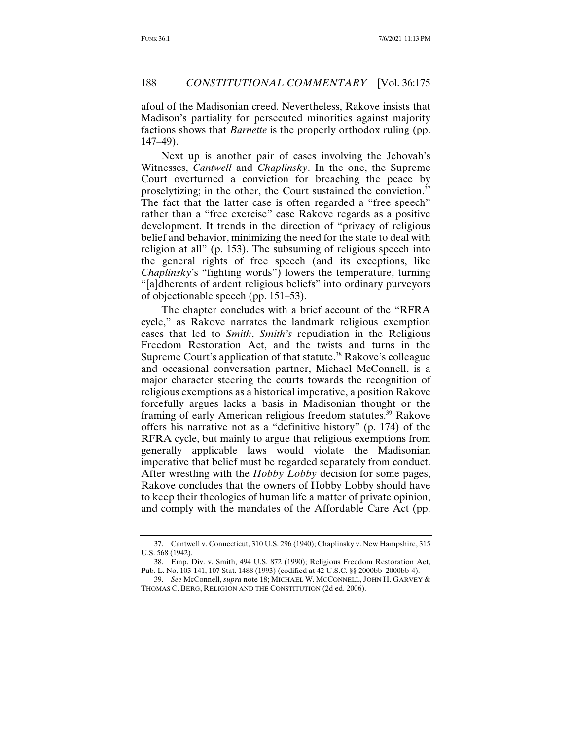afoul of the Madisonian creed. Nevertheless, Rakove insists that Madison's partiality for persecuted minorities against majority factions shows that *Barnette* is the properly orthodox ruling (pp. 147–49).

Next up is another pair of cases involving the Jehovah's Witnesses, *Cantwell* and *Chaplinsky*. In the one, the Supreme Court overturned a conviction for breaching the peace by proselytizing; in the other, the Court sustained the conviction. $37$ The fact that the latter case is often regarded a "free speech" rather than a "free exercise" case Rakove regards as a positive development. It trends in the direction of "privacy of religious belief and behavior, minimizing the need for the state to deal with religion at all" (p. 153). The subsuming of religious speech into the general rights of free speech (and its exceptions, like *Chaplinsky*'s "fighting words") lowers the temperature, turning "[a]dherents of ardent religious beliefs" into ordinary purveyors of objectionable speech (pp. 151–53).

The chapter concludes with a brief account of the "RFRA cycle," as Rakove narrates the landmark religious exemption cases that led to *Smith*, *Smith's* repudiation in the Religious Freedom Restoration Act, and the twists and turns in the Supreme Court's application of that statute.<sup>38</sup> Rakove's colleague and occasional conversation partner, Michael McConnell, is a major character steering the courts towards the recognition of religious exemptions as a historical imperative, a position Rakove forcefully argues lacks a basis in Madisonian thought or the framing of early American religious freedom statutes.<sup>39</sup> Rakove offers his narrative not as a "definitive history" (p. 174) of the RFRA cycle, but mainly to argue that religious exemptions from generally applicable laws would violate the Madisonian imperative that belief must be regarded separately from conduct. After wrestling with the *Hobby Lobby* decision for some pages, Rakove concludes that the owners of Hobby Lobby should have to keep their theologies of human life a matter of private opinion, and comply with the mandates of the Affordable Care Act (pp.

 <sup>37.</sup> Cantwell v. Connecticut, 310 U.S. 296 (1940); Chaplinsky v. New Hampshire, 315 U.S. 568 (1942).

 <sup>38.</sup> Emp. Div. v. Smith, 494 U.S. 872 (1990); Religious Freedom Restoration Act, Pub. L. No. 103-141, 107 Stat. 1488 (1993) (codified at 42 U.S.C. §§ 2000bb–2000bb-4).

 <sup>39.</sup> *See* McConnell, *supra* note 18; MICHAEL W. MCCONNELL, JOHN H. GARVEY & THOMAS C. BERG, RELIGION AND THE CONSTITUTION (2d ed. 2006).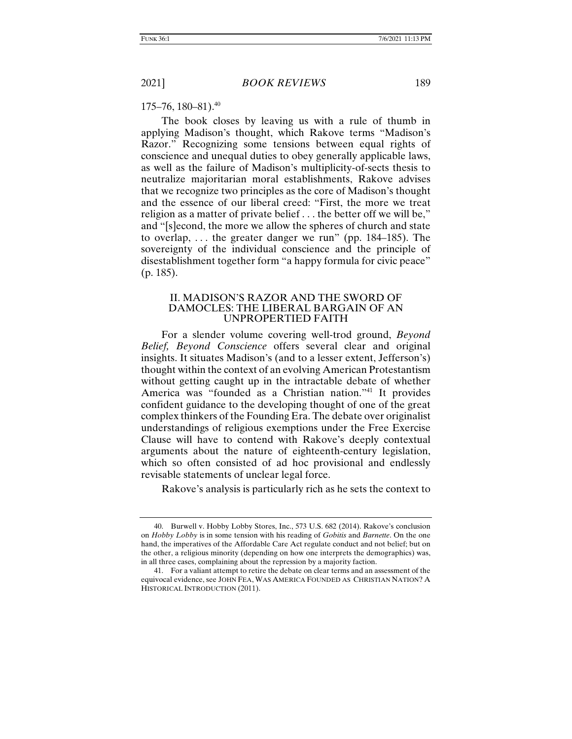#### 175–76, 180–81).40

The book closes by leaving us with a rule of thumb in applying Madison's thought, which Rakove terms "Madison's Razor." Recognizing some tensions between equal rights of conscience and unequal duties to obey generally applicable laws, as well as the failure of Madison's multiplicity-of-sects thesis to neutralize majoritarian moral establishments, Rakove advises that we recognize two principles as the core of Madison's thought and the essence of our liberal creed: "First, the more we treat religion as a matter of private belief . . . the better off we will be," and "[s]econd, the more we allow the spheres of church and state to overlap, . . . the greater danger we run" (pp. 184–185). The sovereignty of the individual conscience and the principle of disestablishment together form "a happy formula for civic peace" (p. 185).

#### II. MADISON'S RAZOR AND THE SWORD OF DAMOCLES: THE LIBERAL BARGAIN OF AN UNPROPERTIED FAITH

For a slender volume covering well-trod ground, *Beyond Belief, Beyond Conscience* offers several clear and original insights. It situates Madison's (and to a lesser extent, Jefferson's) thought within the context of an evolving American Protestantism without getting caught up in the intractable debate of whether America was "founded as a Christian nation."41 It provides confident guidance to the developing thought of one of the great complex thinkers of the Founding Era. The debate over originalist understandings of religious exemptions under the Free Exercise Clause will have to contend with Rakove's deeply contextual arguments about the nature of eighteenth-century legislation, which so often consisted of ad hoc provisional and endlessly revisable statements of unclear legal force.

Rakove's analysis is particularly rich as he sets the context to

 <sup>40.</sup> Burwell v. Hobby Lobby Stores, Inc., 573 U.S. 682 (2014). Rakove's conclusion on *Hobby Lobby* is in some tension with his reading of *Gobitis* and *Barnette*. On the one hand, the imperatives of the Affordable Care Act regulate conduct and not belief; but on the other, a religious minority (depending on how one interprets the demographics) was, in all three cases, complaining about the repression by a majority faction.

 <sup>41.</sup> For a valiant attempt to retire the debate on clear terms and an assessment of the equivocal evidence, see JOHN FEA, WAS AMERICA FOUNDED AS CHRISTIAN NATION? A HISTORICAL INTRODUCTION (2011).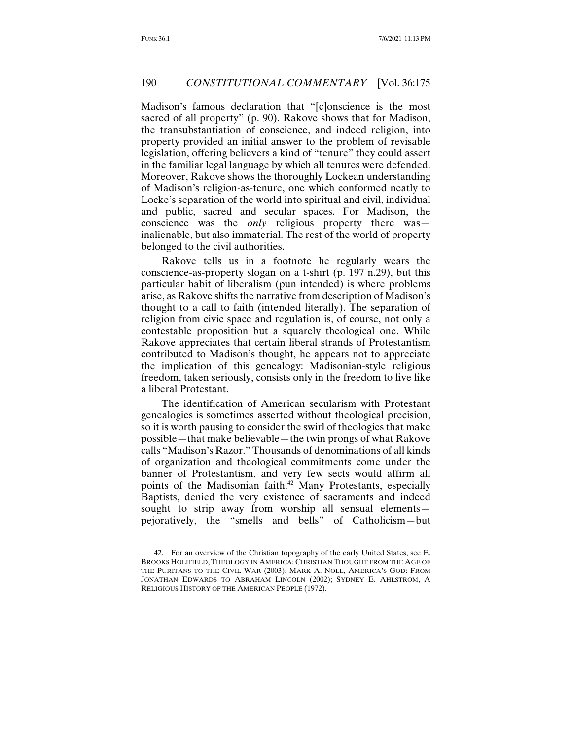Madison's famous declaration that "[c]onscience is the most sacred of all property" (p. 90). Rakove shows that for Madison, the transubstantiation of conscience, and indeed religion, into property provided an initial answer to the problem of revisable legislation, offering believers a kind of "tenure" they could assert in the familiar legal language by which all tenures were defended. Moreover, Rakove shows the thoroughly Lockean understanding of Madison's religion-as-tenure, one which conformed neatly to Locke's separation of the world into spiritual and civil, individual and public, sacred and secular spaces. For Madison, the conscience was the *only* religious property there was inalienable, but also immaterial. The rest of the world of property belonged to the civil authorities.

Rakove tells us in a footnote he regularly wears the conscience-as-property slogan on a t-shirt (p. 197 n.29), but this particular habit of liberalism (pun intended) is where problems arise, as Rakove shifts the narrative from description of Madison's thought to a call to faith (intended literally). The separation of religion from civic space and regulation is, of course, not only a contestable proposition but a squarely theological one. While Rakove appreciates that certain liberal strands of Protestantism contributed to Madison's thought, he appears not to appreciate the implication of this genealogy: Madisonian-style religious freedom, taken seriously, consists only in the freedom to live like a liberal Protestant.

The identification of American secularism with Protestant genealogies is sometimes asserted without theological precision, so it is worth pausing to consider the swirl of theologies that make possible—that make believable—the twin prongs of what Rakove calls "Madison's Razor." Thousands of denominations of all kinds of organization and theological commitments come under the banner of Protestantism, and very few sects would affirm all points of the Madisonian faith.<sup>42</sup> Many Protestants, especially Baptists, denied the very existence of sacraments and indeed sought to strip away from worship all sensual elements pejoratively, the "smells and bells" of Catholicism—but

 <sup>42.</sup> For an overview of the Christian topography of the early United States, see E. BROOKS HOLIFIELD, THEOLOGY IN AMERICA: CHRISTIAN THOUGHT FROM THE AGE OF THE PURITANS TO THE CIVIL WAR (2003); MARK A. NOLL, AMERICA'S GOD: FROM JONATHAN EDWARDS TO ABRAHAM LINCOLN (2002); SYDNEY E. AHLSTROM, A RELIGIOUS HISTORY OF THE AMERICAN PEOPLE (1972).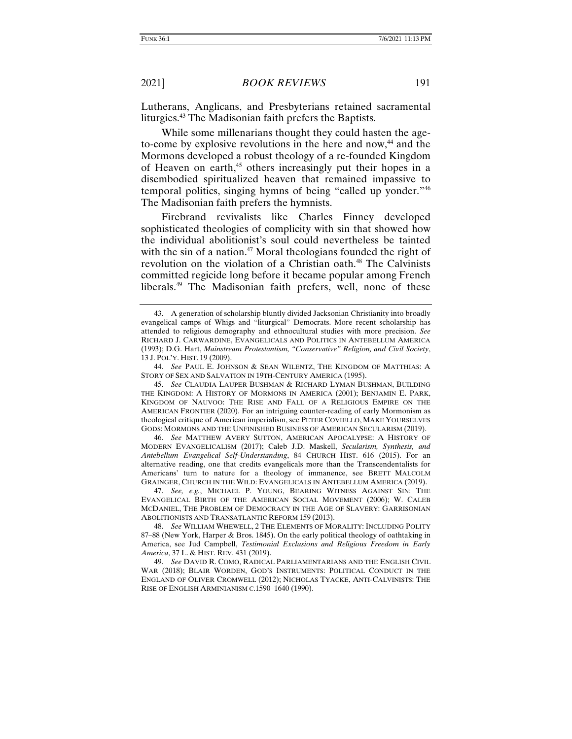Lutherans, Anglicans, and Presbyterians retained sacramental liturgies.43 The Madisonian faith prefers the Baptists.

While some millenarians thought they could hasten the ageto-come by explosive revolutions in the here and now,<sup>44</sup> and the Mormons developed a robust theology of a re-founded Kingdom of Heaven on earth, $45$  others increasingly put their hopes in a disembodied spiritualized heaven that remained impassive to temporal politics, singing hymns of being "called up yonder."46 The Madisonian faith prefers the hymnists.

Firebrand revivalists like Charles Finney developed sophisticated theologies of complicity with sin that showed how the individual abolitionist's soul could nevertheless be tainted with the sin of a nation.<sup>47</sup> Moral theologians founded the right of revolution on the violation of a Christian oath.<sup>48</sup> The Calvinists committed regicide long before it became popular among French liberals.49 The Madisonian faith prefers, well, none of these

 44. *See* PAUL E. JOHNSON & SEAN WILENTZ, THE KINGDOM OF MATTHIAS: A STORY OF SEX AND SALVATION IN 19TH-CENTURY AMERICA (1995).

 45. *See* CLAUDIA LAUPER BUSHMAN & RICHARD LYMAN BUSHMAN, BUILDING THE KINGDOM: A HISTORY OF MORMONS IN AMERICA (2001); BENJAMIN E. PARK, KINGDOM OF NAUVOO: THE RISE AND FALL OF A RELIGIOUS EMPIRE ON THE AMERICAN FRONTIER (2020). For an intriguing counter-reading of early Mormonism as theological critique of American imperialism, see PETER COVIELLO, MAKE YOURSELVES GODS: MORMONS AND THE UNFINISHED BUSINESS OF AMERICAN SECULARISM (2019).

 46. *See* MATTHEW AVERY SUTTON, AMERICAN APOCALYPSE: A HISTORY OF MODERN EVANGELICALISM (2017); Caleb J.D. Maskell, *Secularism, Synthesis, and Antebellum Evangelical Self-Understanding*, 84 CHURCH HIST. 616 (2015). For an alternative reading, one that credits evangelicals more than the Transcendentalists for Americans' turn to nature for a theology of immanence, see BRETT MALCOLM GRAINGER, CHURCH IN THE WILD: EVANGELICALS IN ANTEBELLUM AMERICA (2019).

 47. *See, e.g.*, MICHAEL P. YOUNG, BEARING WITNESS AGAINST SIN: THE EVANGELICAL BIRTH OF THE AMERICAN SOCIAL MOVEMENT (2006); W. CALEB MCDANIEL, THE PROBLEM OF DEMOCRACY IN THE AGE OF SLAVERY: GARRISONIAN ABOLITIONISTS AND TRANSATLANTIC REFORM 159 (2013).

 49. *See* DAVID R. COMO, RADICAL PARLIAMENTARIANS AND THE ENGLISH CIVIL WAR (2018); BLAIR WORDEN, GOD'S INSTRUMENTS: POLITICAL CONDUCT IN THE ENGLAND OF OLIVER CROMWELL (2012); NICHOLAS TYACKE, ANTI-CALVINISTS: THE RISE OF ENGLISH ARMINIANISM C.1590–1640 (1990).

 <sup>43.</sup> A generation of scholarship bluntly divided Jacksonian Christianity into broadly evangelical camps of Whigs and "liturgical" Democrats. More recent scholarship has attended to religious demography and ethnocultural studies with more precision. *See* RICHARD J. CARWARDINE, EVANGELICALS AND POLITICS IN ANTEBELLUM AMERICA (1993); D.G. Hart, *Mainstream Protestantism, "Conservative" Religion, and Civil Society*, 13 J. POL'Y. HIST. 19 (2009).

 <sup>48.</sup> *See* WILLIAM WHEWELL, 2 THE ELEMENTS OF MORALITY: INCLUDING POLITY 87–88 (New York, Harper & Bros. 1845). On the early political theology of oathtaking in America, see Jud Campbell, *Testimonial Exclusions and Religious Freedom in Early America*, 37 L. & HIST. REV. 431 (2019).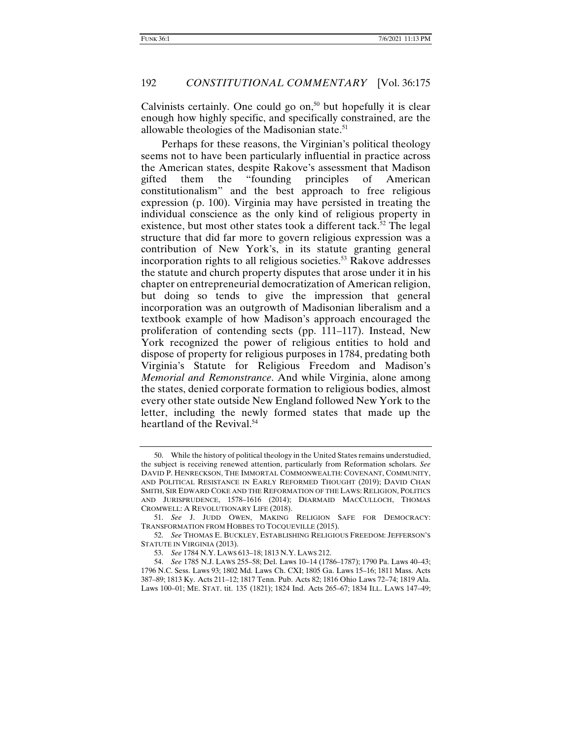Calvinists certainly. One could go on,<sup>50</sup> but hopefully it is clear enough how highly specific, and specifically constrained, are the allowable theologies of the Madisonian state. $51$ 

Perhaps for these reasons, the Virginian's political theology seems not to have been particularly influential in practice across the American states, despite Rakove's assessment that Madison gifted them the "founding principles of American constitutionalism" and the best approach to free religious expression (p. 100). Virginia may have persisted in treating the individual conscience as the only kind of religious property in existence, but most other states took a different tack.<sup>52</sup> The legal structure that did far more to govern religious expression was a contribution of New York's, in its statute granting general incorporation rights to all religious societies.<sup>53</sup> Rakove addresses the statute and church property disputes that arose under it in his chapter on entrepreneurial democratization of American religion, but doing so tends to give the impression that general incorporation was an outgrowth of Madisonian liberalism and a textbook example of how Madison's approach encouraged the proliferation of contending sects (pp. 111–117). Instead, New York recognized the power of religious entities to hold and dispose of property for religious purposes in 1784, predating both Virginia's Statute for Religious Freedom and Madison's *Memorial and Remonstrance*. And while Virginia, alone among the states, denied corporate formation to religious bodies, almost every other state outside New England followed New York to the letter, including the newly formed states that made up the heartland of the Revival.<sup>54</sup>

 <sup>50.</sup> While the history of political theology in the United States remains understudied, the subject is receiving renewed attention, particularly from Reformation scholars. *See* DAVID P. HENRECKSON, THE IMMORTAL COMMONWEALTH: COVENANT, COMMUNITY, AND POLITICAL RESISTANCE IN EARLY REFORMED THOUGHT (2019); DAVID CHAN SMITH, SIR EDWARD COKE AND THE REFORMATION OF THE LAWS: RELIGION, POLITICS AND JURISPRUDENCE, 1578–1616 (2014); DIARMAID MACCULLOCH, THOMAS CROMWELL: A REVOLUTIONARY LIFE (2018).

 <sup>51.</sup> *See* J. JUDD OWEN, MAKING RELIGION SAFE FOR DEMOCRACY: TRANSFORMATION FROM HOBBES TO TOCQUEVILLE (2015).

 <sup>52.</sup> *See* THOMAS E. BUCKLEY, ESTABLISHING RELIGIOUS FREEDOM: JEFFERSON'S STATUTE IN VIRGINIA (2013).

 <sup>53.</sup> *See* 1784 N.Y. LAWS 613–18; 1813 N.Y. LAWS 212.

 <sup>54.</sup> *See* 1785 N.J. LAWS 255–58; Del. Laws 10–14 (1786–1787); 1790 Pa. Laws 40–43; 1796 N.C. Sess. Laws 93; 1802 Md. Laws Ch. CXI; 1805 Ga. Laws 15–16; 1811 Mass. Acts 387–89; 1813 Ky. Acts 211–12; 1817 Tenn. Pub. Acts 82; 1816 Ohio Laws 72–74; 1819 Ala. Laws 100–01; ME. STAT. tit. 135 (1821); 1824 Ind. Acts 265–67; 1834 ILL. LAWS 147–49;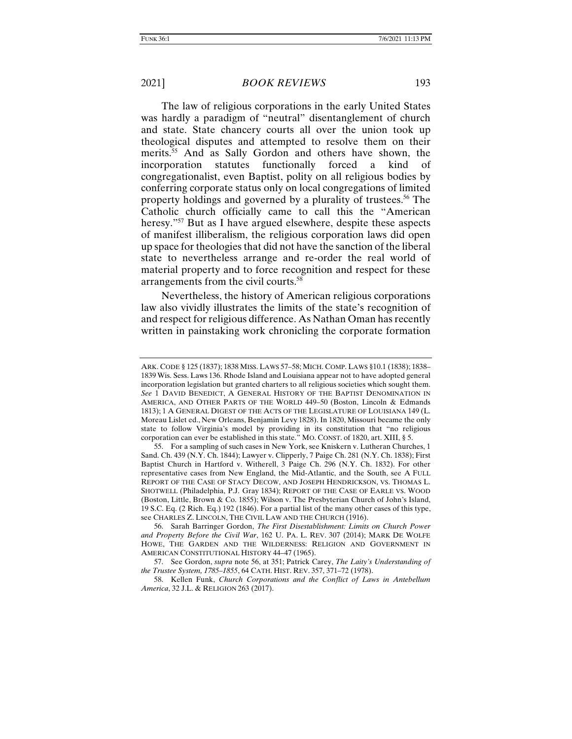The law of religious corporations in the early United States was hardly a paradigm of "neutral" disentanglement of church and state. State chancery courts all over the union took up theological disputes and attempted to resolve them on their merits.55 And as Sally Gordon and others have shown, the incorporation statutes functionally forced a kind of congregationalist, even Baptist, polity on all religious bodies by conferring corporate status only on local congregations of limited property holdings and governed by a plurality of trustees.56 The Catholic church officially came to call this the "American heresy."<sup>57</sup> But as I have argued elsewhere, despite these aspects of manifest illiberalism, the religious corporation laws did open up space for theologies that did not have the sanction of the liberal state to nevertheless arrange and re-order the real world of material property and to force recognition and respect for these arrangements from the civil courts.58

Nevertheless, the history of American religious corporations law also vividly illustrates the limits of the state's recognition of and respect for religious difference. As Nathan Oman has recently written in painstaking work chronicling the corporate formation

ARK. CODE § 125 (1837); 1838 MISS. LAWS 57–58; MICH. COMP. LAWS §10.1 (1838); 1838– 1839 Wis. Sess. Laws 136. Rhode Island and Louisiana appear not to have adopted general incorporation legislation but granted charters to all religious societies which sought them. *See* 1 DAVID BENEDICT, A GENERAL HISTORY OF THE BAPTIST DENOMINATION IN AMERICA, AND OTHER PARTS OF THE WORLD 449–50 (Boston, Lincoln & Edmands 1813); 1 A GENERAL DIGEST OF THE ACTS OF THE LEGISLATURE OF LOUISIANA 149 (L. Moreau Lislet ed., New Orleans, Benjamin Levy 1828). In 1820, Missouri became the only state to follow Virginia's model by providing in its constitution that "no religious corporation can ever be established in this state." MO. CONST. of 1820, art. XIII, § 5.

 <sup>55.</sup> For a sampling of such cases in New York, see Kniskern v. Lutheran Churches, 1 Sand. Ch. 439 (N.Y. Ch. 1844); Lawyer v. Clipperly, 7 Paige Ch. 281 (N.Y. Ch. 1838); First Baptist Church in Hartford v. Witherell, 3 Paige Ch. 296 (N.Y. Ch. 1832). For other representative cases from New England, the Mid-Atlantic, and the South, see A FULL REPORT OF THE CASE OF STACY DECOW, AND JOSEPH HENDRICKSON, VS. THOMAS L. SHOTWELL (Philadelphia, P.J. Gray 1834); REPORT OF THE CASE OF EARLE VS. WOOD (Boston, Little, Brown & Co. 1855); Wilson v. The Presbyterian Church of John's Island, 19 S.C. Eq. (2 Rich. Eq.) 192 (1846). For a partial list of the many other cases of this type, see CHARLES Z. LINCOLN, THE CIVIL LAW AND THE CHURCH (1916).

 <sup>56.</sup> Sarah Barringer Gordon, *The First Disestablishment: Limits on Church Power and Property Before the Civil War*, 162 U. PA. L. REV. 307 (2014); MARK DE WOLFE HOWE, THE GARDEN AND THE WILDERNESS: RELIGION AND GOVERNMENT IN AMERICAN CONSTITUTIONAL HISTORY 44–47 (1965).

 <sup>57.</sup> See Gordon, *supra* note 56, at 351; Patrick Carey, *The Laity's Understanding of the Trustee System, 1785–1855*, 64 CATH. HIST. REV. 357, 371–72 (1978).

 <sup>58.</sup> Kellen Funk, *Church Corporations and the Conflict of Laws in Antebellum America*, 32 J.L. & RELIGION 263 (2017).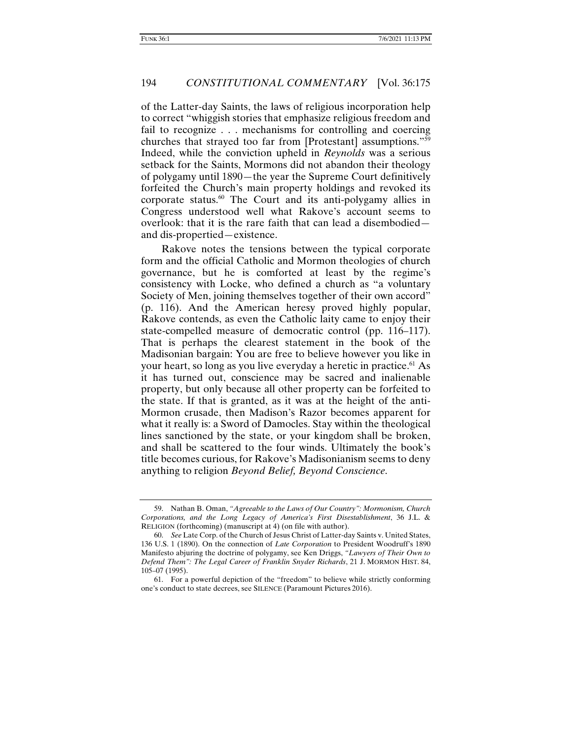of the Latter-day Saints, the laws of religious incorporation help to correct "whiggish stories that emphasize religious freedom and fail to recognize . . . mechanisms for controlling and coercing churches that strayed too far from [Protestant] assumptions."59 Indeed, while the conviction upheld in *Reynolds* was a serious setback for the Saints, Mormons did not abandon their theology of polygamy until 1890—the year the Supreme Court definitively forfeited the Church's main property holdings and revoked its corporate status.<sup>60</sup> The Court and its anti-polygamy allies in Congress understood well what Rakove's account seems to overlook: that it is the rare faith that can lead a disembodied and dis-propertied—existence.

Rakove notes the tensions between the typical corporate form and the official Catholic and Mormon theologies of church governance, but he is comforted at least by the regime's consistency with Locke, who defined a church as "a voluntary Society of Men, joining themselves together of their own accord" (p. 116). And the American heresy proved highly popular, Rakove contends, as even the Catholic laity came to enjoy their state-compelled measure of democratic control (pp. 116–117). That is perhaps the clearest statement in the book of the Madisonian bargain: You are free to believe however you like in your heart, so long as you live everyday a heretic in practice.<sup>61</sup> As it has turned out, conscience may be sacred and inalienable property, but only because all other property can be forfeited to the state. If that is granted, as it was at the height of the anti-Mormon crusade, then Madison's Razor becomes apparent for what it really is: a Sword of Damocles. Stay within the theological lines sanctioned by the state, or your kingdom shall be broken, and shall be scattered to the four winds. Ultimately the book's title becomes curious, for Rakove's Madisonianism seems to deny anything to religion *Beyond Belief, Beyond Conscience*.

 <sup>59.</sup> Nathan B. Oman, *"Agreeable to the Laws of Our Country": Mormonism, Church Corporations, and the Long Legacy of America's First Disestablishment*, 36 J.L. & RELIGION (forthcoming) (manuscript at 4) (on file with author).

 <sup>60.</sup> *See* Late Corp. of the Church of Jesus Christ of Latter-day Saints v. United States, 136 U.S. 1 (1890). On the connection of *Late Corporation* to President Woodruff's 1890 Manifesto abjuring the doctrine of polygamy, see Ken Driggs, *"Lawyers of Their Own to Defend Them": The Legal Career of Franklin Snyder Richards*, 21 J. MORMON HIST. 84, 105–07 (1995).

 <sup>61.</sup> For a powerful depiction of the "freedom" to believe while strictly conforming one's conduct to state decrees, see SILENCE (Paramount Pictures 2016).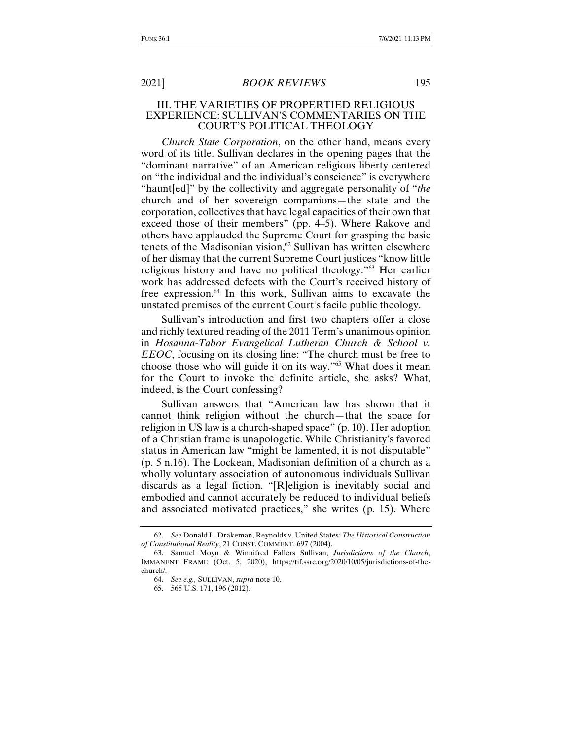#### III. THE VARIETIES OF PROPERTIED RELIGIOUS EXPERIENCE: SULLIVAN'S COMMENTARIES ON THE COURT'S POLITICAL THEOLOGY

*Church State Corporation*, on the other hand, means every word of its title. Sullivan declares in the opening pages that the "dominant narrative" of an American religious liberty centered on "the individual and the individual's conscience" is everywhere "haunt[ed]" by the collectivity and aggregate personality of "*the* church and of her sovereign companions—the state and the corporation, collectives that have legal capacities of their own that exceed those of their members" (pp. 4–5). Where Rakove and others have applauded the Supreme Court for grasping the basic tenets of the Madisonian vision, $62$  Sullivan has written elsewhere of her dismay that the current Supreme Court justices "know little religious history and have no political theology."63 Her earlier work has addressed defects with the Court's received history of free expression.64 In this work, Sullivan aims to excavate the unstated premises of the current Court's facile public theology.

Sullivan's introduction and first two chapters offer a close and richly textured reading of the 2011 Term's unanimous opinion in *Hosanna-Tabor Evangelical Lutheran Church & School v. EEOC*, focusing on its closing line: "The church must be free to choose those who will guide it on its way."65 What does it mean for the Court to invoke the definite article, she asks? What, indeed, is the Court confessing?

Sullivan answers that "American law has shown that it cannot think religion without the church—that the space for religion in US law is a church-shaped space" (p. 10). Her adoption of a Christian frame is unapologetic. While Christianity's favored status in American law "might be lamented, it is not disputable" (p. 5 n.16). The Lockean, Madisonian definition of a church as a wholly voluntary association of autonomous individuals Sullivan discards as a legal fiction. "[R]eligion is inevitably social and embodied and cannot accurately be reduced to individual beliefs and associated motivated practices," she writes (p. 15). Where

65. 565 U.S. 171, 196 (2012).

 <sup>62.</sup> *See* Donald L. Drakeman, Reynolds v. United States*: The Historical Construction of Constitutional Reality*, 21 CONST. COMMENT. 697 (2004).

 <sup>63.</sup> Samuel Moyn & Winnifred Fallers Sullivan, *Jurisdictions of the Church*, IMMANENT FRAME (Oct. 5, 2020), https://tif.ssrc.org/2020/10/05/jurisdictions-of-thechurch/.

 <sup>64.</sup> *See e.g.,* SULLIVAN, *supra* note 10.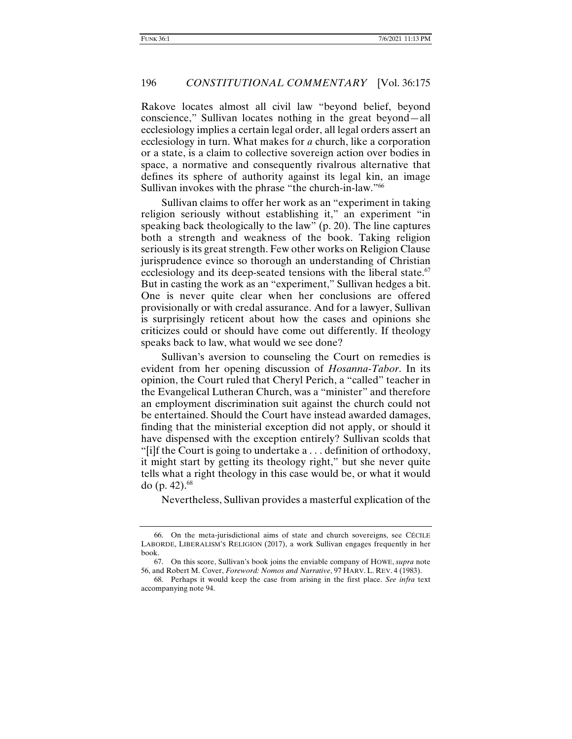Rakove locates almost all civil law "beyond belief, beyond conscience," Sullivan locates nothing in the great beyond—all ecclesiology implies a certain legal order, all legal orders assert an ecclesiology in turn. What makes for *a* church, like a corporation or a state, is a claim to collective sovereign action over bodies in space, a normative and consequently rivalrous alternative that defines its sphere of authority against its legal kin, an image Sullivan invokes with the phrase "the church-in-law."66

Sullivan claims to offer her work as an "experiment in taking religion seriously without establishing it," an experiment "in speaking back theologically to the law" (p. 20). The line captures both a strength and weakness of the book. Taking religion seriously is its great strength. Few other works on Religion Clause jurisprudence evince so thorough an understanding of Christian ecclesiology and its deep-seated tensions with the liberal state.<sup>67</sup> But in casting the work as an "experiment," Sullivan hedges a bit. One is never quite clear when her conclusions are offered provisionally or with credal assurance. And for a lawyer, Sullivan is surprisingly reticent about how the cases and opinions she criticizes could or should have come out differently. If theology speaks back to law, what would we see done?

Sullivan's aversion to counseling the Court on remedies is evident from her opening discussion of *Hosanna-Tabor*. In its opinion, the Court ruled that Cheryl Perich, a "called" teacher in the Evangelical Lutheran Church, was a "minister" and therefore an employment discrimination suit against the church could not be entertained. Should the Court have instead awarded damages, finding that the ministerial exception did not apply, or should it have dispensed with the exception entirely? Sullivan scolds that "[i]f the Court is going to undertake a . . . definition of orthodoxy, it might start by getting its theology right," but she never quite tells what a right theology in this case would be, or what it would do (p. 42).<sup>68</sup>

Nevertheless, Sullivan provides a masterful explication of the

 <sup>66.</sup> On the meta-jurisdictional aims of state and church sovereigns, see CÉCILE LABORDE, LIBERALISM'S RELIGION (2017), a work Sullivan engages frequently in her book.

 <sup>67.</sup> On this score, Sullivan's book joins the enviable company of HOWE, *supra* note 56, and Robert M. Cover, *Foreword: Nomos and Narrative*, 97 HARV. L. REV. 4 (1983).

 <sup>68.</sup> Perhaps it would keep the case from arising in the first place. *See infra* text accompanying note 94.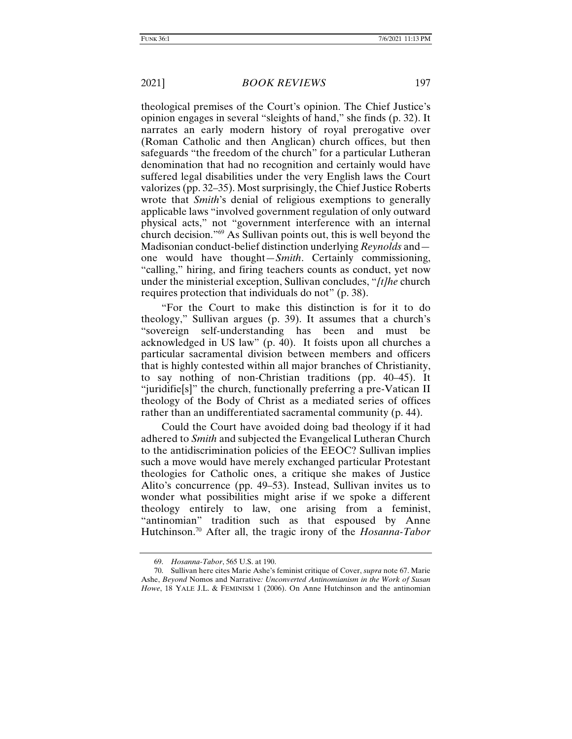theological premises of the Court's opinion. The Chief Justice's opinion engages in several "sleights of hand," she finds (p. 32). It narrates an early modern history of royal prerogative over (Roman Catholic and then Anglican) church offices, but then safeguards "the freedom of the church" for a particular Lutheran denomination that had no recognition and certainly would have suffered legal disabilities under the very English laws the Court valorizes (pp. 32–35). Most surprisingly, the Chief Justice Roberts wrote that *Smith*'s denial of religious exemptions to generally applicable laws "involved government regulation of only outward physical acts," not "government interference with an internal church decision."69 As Sullivan points out, this is well beyond the Madisonian conduct-belief distinction underlying *Reynolds* and one would have thought—*Smith*. Certainly commissioning, "calling," hiring, and firing teachers counts as conduct, yet now under the ministerial exception, Sullivan concludes, "*[t]he* church requires protection that individuals do not" (p. 38).

"For the Court to make this distinction is for it to do theology," Sullivan argues (p. 39). It assumes that a church's "sovereign self-understanding has been and must be acknowledged in US law" (p. 40). It foists upon all churches a particular sacramental division between members and officers that is highly contested within all major branches of Christianity, to say nothing of non-Christian traditions (pp. 40–45). It "juridifie[s]" the church, functionally preferring a pre-Vatican II theology of the Body of Christ as a mediated series of offices rather than an undifferentiated sacramental community (p. 44).

Could the Court have avoided doing bad theology if it had adhered to *Smith* and subjected the Evangelical Lutheran Church to the antidiscrimination policies of the EEOC? Sullivan implies such a move would have merely exchanged particular Protestant theologies for Catholic ones, a critique she makes of Justice Alito's concurrence (pp. 49–53). Instead, Sullivan invites us to wonder what possibilities might arise if we spoke a different theology entirely to law, one arising from a feminist, "antinomian" tradition such as that espoused by Anne Hutchinson.70 After all, the tragic irony of the *Hosanna-Tabor*

 <sup>69.</sup> *Hosanna-Tabor*, 565 U.S. at 190.

 <sup>70.</sup> Sullivan here cites Marie Ashe's feminist critique of Cover, *supra* note 67. Marie Ashe, *Beyond* Nomos and Narrative*: Unconverted Antinomianism in the Work of Susan Howe*, 18 YALE J.L. & FEMINISM 1 (2006). On Anne Hutchinson and the antinomian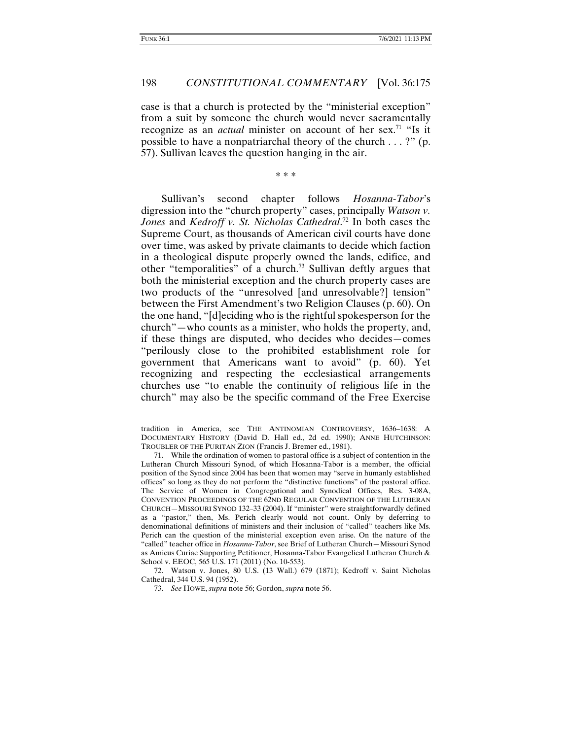case is that a church is protected by the "ministerial exception" from a suit by someone the church would never sacramentally recognize as an *actual* minister on account of her sex.<sup>71</sup> "Is it possible to have a nonpatriarchal theory of the church . . . ?" (p. 57). Sullivan leaves the question hanging in the air.

\* \* \*

Sullivan's second chapter follows *Hosanna-Tabor*'s digression into the "church property" cases, principally *Watson v. Jones* and *Kedroff v. St. Nicholas Cathedral*. 72 In both cases the Supreme Court, as thousands of American civil courts have done over time, was asked by private claimants to decide which faction in a theological dispute properly owned the lands, edifice, and other "temporalities" of a church.73 Sullivan deftly argues that both the ministerial exception and the church property cases are two products of the "unresolved [and unresolvable?] tension" between the First Amendment's two Religion Clauses (p. 60). On the one hand, "[d]eciding who is the rightful spokesperson for the church"—who counts as a minister, who holds the property, and, if these things are disputed, who decides who decides—comes "perilously close to the prohibited establishment role for government that Americans want to avoid" (p. 60). Yet recognizing and respecting the ecclesiastical arrangements churches use "to enable the continuity of religious life in the church" may also be the specific command of the Free Exercise

tradition in America, see THE ANTINOMIAN CONTROVERSY, 1636–1638: A DOCUMENTARY HISTORY (David D. Hall ed., 2d ed. 1990); ANNE HUTCHINSON: TROUBLER OF THE PURITAN ZION (Francis J. Bremer ed., 1981).

 <sup>71.</sup> While the ordination of women to pastoral office is a subject of contention in the Lutheran Church Missouri Synod, of which Hosanna-Tabor is a member, the official position of the Synod since 2004 has been that women may "serve in humanly established offices" so long as they do not perform the "distinctive functions" of the pastoral office. The Service of Women in Congregational and Synodical Offices, Res. 3-08A, CONVENTION PROCEEDINGS OF THE 62ND REGULAR CONVENTION OF THE LUTHERAN CHURCH—MISSOURI SYNOD 132–33 (2004). If "minister" were straightforwardly defined as a "pastor," then, Ms. Perich clearly would not count. Only by deferring to denominational definitions of ministers and their inclusion of "called" teachers like Ms. Perich can the question of the ministerial exception even arise. On the nature of the "called" teacher office in *Hosanna-Tabor*, see Brief of Lutheran Church—Missouri Synod as Amicus Curiae Supporting Petitioner, Hosanna-Tabor Evangelical Lutheran Church & School v. EEOC, 565 U.S. 171 (2011) (No. 10-553).

 <sup>72.</sup> Watson v. Jones, 80 U.S. (13 Wall.) 679 (1871); Kedroff v. Saint Nicholas Cathedral, 344 U.S. 94 (1952).

 <sup>73.</sup> *See* HOWE, *supra* note 56; Gordon, *supra* note 56.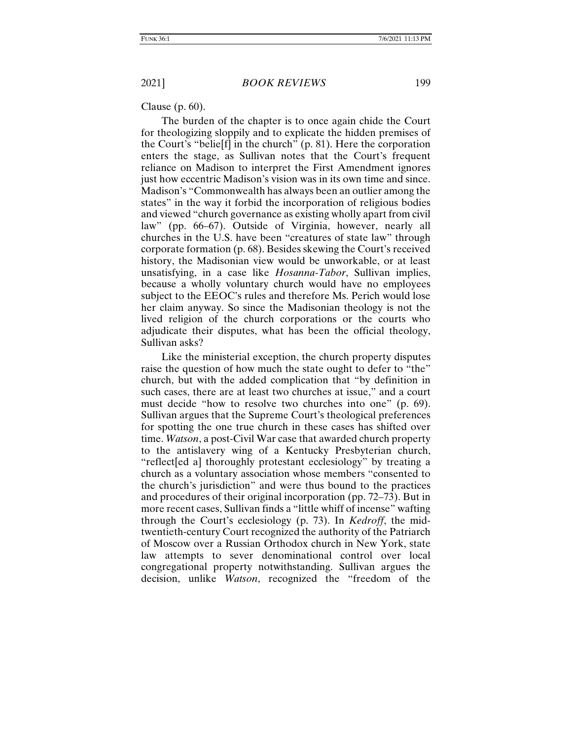Clause (p. 60).

The burden of the chapter is to once again chide the Court for theologizing sloppily and to explicate the hidden premises of the Court's "belie[f] in the church" (p. 81). Here the corporation enters the stage, as Sullivan notes that the Court's frequent reliance on Madison to interpret the First Amendment ignores just how eccentric Madison's vision was in its own time and since. Madison's "Commonwealth has always been an outlier among the states" in the way it forbid the incorporation of religious bodies and viewed "church governance as existing wholly apart from civil law" (pp. 66–67). Outside of Virginia, however, nearly all churches in the U.S. have been "creatures of state law" through corporate formation (p. 68). Besides skewing the Court's received history, the Madisonian view would be unworkable, or at least unsatisfying, in a case like *Hosanna-Tabor*, Sullivan implies, because a wholly voluntary church would have no employees subject to the EEOC's rules and therefore Ms. Perich would lose her claim anyway. So since the Madisonian theology is not the lived religion of the church corporations or the courts who adjudicate their disputes, what has been the official theology, Sullivan asks?

Like the ministerial exception, the church property disputes raise the question of how much the state ought to defer to "the" church, but with the added complication that "by definition in such cases, there are at least two churches at issue," and a court must decide "how to resolve two churches into one" (p. 69). Sullivan argues that the Supreme Court's theological preferences for spotting the one true church in these cases has shifted over time. *Watson*, a post-Civil War case that awarded church property to the antislavery wing of a Kentucky Presbyterian church, "reflect[ed a] thoroughly protestant ecclesiology" by treating a church as a voluntary association whose members "consented to the church's jurisdiction" and were thus bound to the practices and procedures of their original incorporation (pp. 72–73). But in more recent cases, Sullivan finds a "little whiff of incense" wafting through the Court's ecclesiology (p. 73). In *Kedroff*, the midtwentieth-century Court recognized the authority of the Patriarch of Moscow over a Russian Orthodox church in New York, state law attempts to sever denominational control over local congregational property notwithstanding. Sullivan argues the decision, unlike *Watson*, recognized the "freedom of the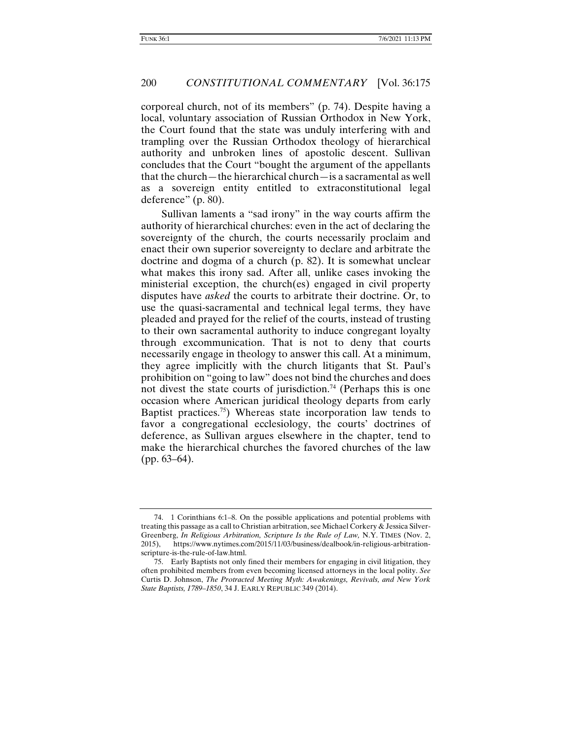corporeal church, not of its members" (p. 74). Despite having a local, voluntary association of Russian Orthodox in New York, the Court found that the state was unduly interfering with and trampling over the Russian Orthodox theology of hierarchical authority and unbroken lines of apostolic descent. Sullivan concludes that the Court "bought the argument of the appellants that the church—the hierarchical church—is a sacramental as well as a sovereign entity entitled to extraconstitutional legal deference" (p. 80).

Sullivan laments a "sad irony" in the way courts affirm the authority of hierarchical churches: even in the act of declaring the sovereignty of the church, the courts necessarily proclaim and enact their own superior sovereignty to declare and arbitrate the doctrine and dogma of a church (p. 82). It is somewhat unclear what makes this irony sad. After all, unlike cases invoking the ministerial exception, the church(es) engaged in civil property disputes have *asked* the courts to arbitrate their doctrine. Or, to use the quasi-sacramental and technical legal terms, they have pleaded and prayed for the relief of the courts, instead of trusting to their own sacramental authority to induce congregant loyalty through excommunication. That is not to deny that courts necessarily engage in theology to answer this call. At a minimum, they agree implicitly with the church litigants that St. Paul's prohibition on "going to law" does not bind the churches and does not divest the state courts of jurisdiction.<sup>74</sup> (Perhaps this is one occasion where American juridical theology departs from early Baptist practices.<sup>75</sup>) Whereas state incorporation law tends to favor a congregational ecclesiology, the courts' doctrines of deference, as Sullivan argues elsewhere in the chapter, tend to make the hierarchical churches the favored churches of the law (pp. 63–64).

 <sup>74. 1</sup> Corinthians 6:1–8. On the possible applications and potential problems with treating this passage as a call to Christian arbitration, see Michael Corkery & Jessica Silver-Greenberg, *In Religious Arbitration, Scripture Is the Rule of Law,* N.Y. TIMES (Nov. 2, 2015), https://www.nytimes.com/2015/11/03/business/dealbook/in-religious-arbitrationscripture-is-the-rule-of-law.html.

 <sup>75.</sup> Early Baptists not only fined their members for engaging in civil litigation, they often prohibited members from even becoming licensed attorneys in the local polity. *See* Curtis D. Johnson, *The Protracted Meeting Myth: Awakenings, Revivals, and New York State Baptists, 1789–1850*, 34 J. EARLY REPUBLIC 349 (2014).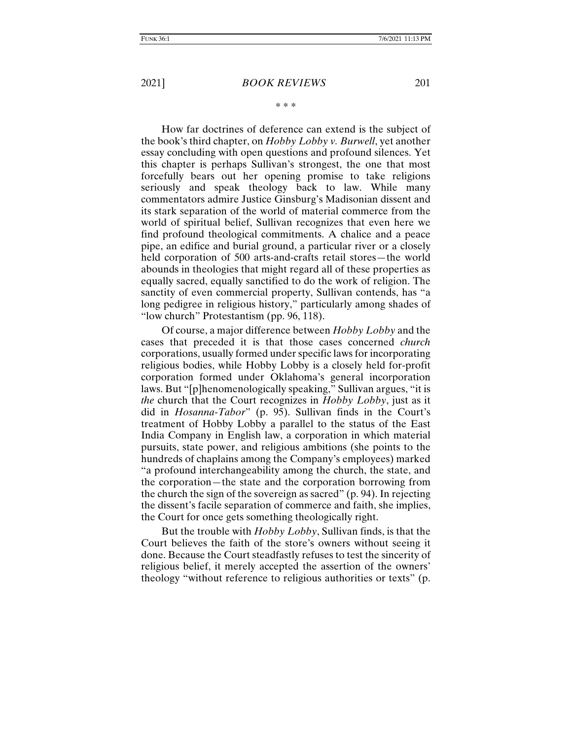\* \* \*

How far doctrines of deference can extend is the subject of the book's third chapter, on *Hobby Lobby v. Burwell*, yet another essay concluding with open questions and profound silences. Yet this chapter is perhaps Sullivan's strongest, the one that most forcefully bears out her opening promise to take religions seriously and speak theology back to law. While many commentators admire Justice Ginsburg's Madisonian dissent and its stark separation of the world of material commerce from the world of spiritual belief, Sullivan recognizes that even here we find profound theological commitments. A chalice and a peace pipe, an edifice and burial ground, a particular river or a closely held corporation of 500 arts-and-crafts retail stores—the world abounds in theologies that might regard all of these properties as equally sacred, equally sanctified to do the work of religion. The sanctity of even commercial property, Sullivan contends, has "a long pedigree in religious history," particularly among shades of "low church" Protestantism (pp. 96, 118).

Of course, a major difference between *Hobby Lobby* and the cases that preceded it is that those cases concerned *church* corporations, usually formed under specific laws for incorporating religious bodies, while Hobby Lobby is a closely held for-profit corporation formed under Oklahoma's general incorporation laws. But "[p]henomenologically speaking," Sullivan argues, "it is *the* church that the Court recognizes in *Hobby Lobby*, just as it did in *Hosanna-Tabor*" (p. 95). Sullivan finds in the Court's treatment of Hobby Lobby a parallel to the status of the East India Company in English law, a corporation in which material pursuits, state power, and religious ambitions (she points to the hundreds of chaplains among the Company's employees) marked "a profound interchangeability among the church, the state, and the corporation—the state and the corporation borrowing from the church the sign of the sovereign as sacred" (p. 94). In rejecting the dissent's facile separation of commerce and faith, she implies, the Court for once gets something theologically right.

But the trouble with *Hobby Lobby*, Sullivan finds, is that the Court believes the faith of the store's owners without seeing it done. Because the Court steadfastly refuses to test the sincerity of religious belief, it merely accepted the assertion of the owners' theology "without reference to religious authorities or texts" (p.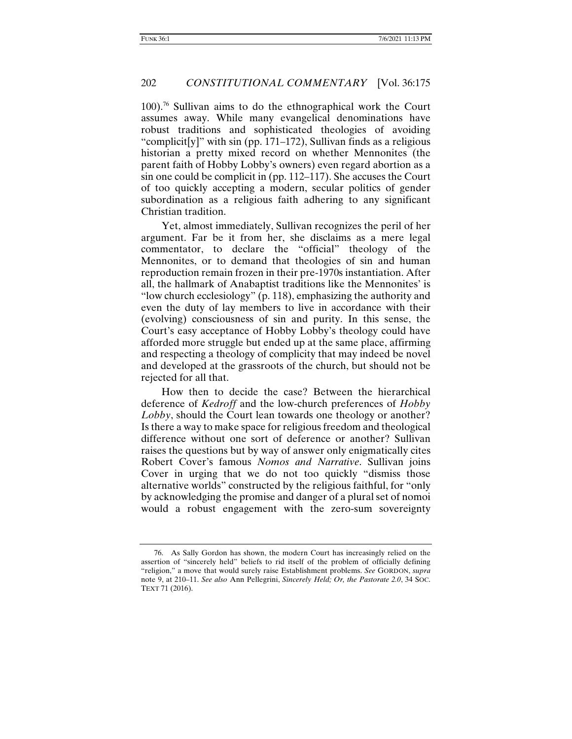100).76 Sullivan aims to do the ethnographical work the Court assumes away. While many evangelical denominations have robust traditions and sophisticated theologies of avoiding "complicit[y]" with sin (pp.  $171-172$ ), Sullivan finds as a religious historian a pretty mixed record on whether Mennonites (the parent faith of Hobby Lobby's owners) even regard abortion as a sin one could be complicit in (pp. 112–117). She accuses the Court of too quickly accepting a modern, secular politics of gender subordination as a religious faith adhering to any significant Christian tradition.

Yet, almost immediately, Sullivan recognizes the peril of her argument. Far be it from her, she disclaims as a mere legal commentator, to declare the "official" theology of the Mennonites, or to demand that theologies of sin and human reproduction remain frozen in their pre-1970s instantiation. After all, the hallmark of Anabaptist traditions like the Mennonites' is "low church ecclesiology" (p. 118), emphasizing the authority and even the duty of lay members to live in accordance with their (evolving) consciousness of sin and purity. In this sense, the Court's easy acceptance of Hobby Lobby's theology could have afforded more struggle but ended up at the same place, affirming and respecting a theology of complicity that may indeed be novel and developed at the grassroots of the church, but should not be rejected for all that.

How then to decide the case? Between the hierarchical deference of *Kedroff* and the low-church preferences of *Hobby Lobby*, should the Court lean towards one theology or another? Is there a way to make space for religious freedom and theological difference without one sort of deference or another? Sullivan raises the questions but by way of answer only enigmatically cites Robert Cover's famous *Nomos and Narrative*. Sullivan joins Cover in urging that we do not too quickly "dismiss those alternative worlds" constructed by the religious faithful, for "only by acknowledging the promise and danger of a plural set of nomoi would a robust engagement with the zero-sum sovereignty

 <sup>76.</sup> As Sally Gordon has shown, the modern Court has increasingly relied on the assertion of "sincerely held" beliefs to rid itself of the problem of officially defining "religion," a move that would surely raise Establishment problems. *See* GORDON, *supra* note 9, at 210–11. *See also* Ann Pellegrini, *Sincerely Held; Or, the Pastorate 2.0*, 34 SOC. TEXT 71 (2016).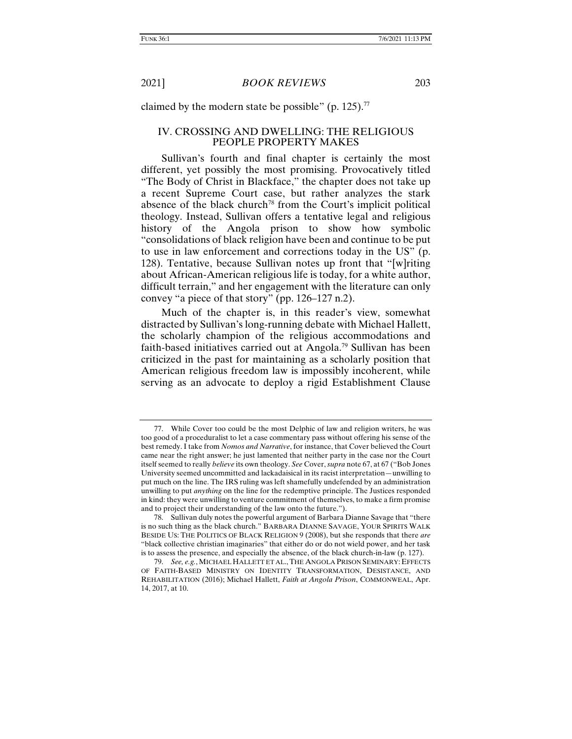claimed by the modern state be possible" (p. 125).<sup>77</sup>

#### IV. CROSSING AND DWELLING: THE RELIGIOUS PEOPLE PROPERTY MAKES

Sullivan's fourth and final chapter is certainly the most different, yet possibly the most promising. Provocatively titled "The Body of Christ in Blackface," the chapter does not take up a recent Supreme Court case, but rather analyzes the stark absence of the black church<sup>78</sup> from the Court's implicit political theology. Instead, Sullivan offers a tentative legal and religious history of the Angola prison to show how symbolic "consolidations of black religion have been and continue to be put to use in law enforcement and corrections today in the US" (p. 128). Tentative, because Sullivan notes up front that "[w]riting about African-American religious life is today, for a white author, difficult terrain," and her engagement with the literature can only convey "a piece of that story" (pp. 126–127 n.2).

Much of the chapter is, in this reader's view, somewhat distracted by Sullivan's long-running debate with Michael Hallett, the scholarly champion of the religious accommodations and faith-based initiatives carried out at Angola.<sup>79</sup> Sullivan has been criticized in the past for maintaining as a scholarly position that American religious freedom law is impossibly incoherent, while serving as an advocate to deploy a rigid Establishment Clause

 <sup>77.</sup> While Cover too could be the most Delphic of law and religion writers, he was too good of a proceduralist to let a case commentary pass without offering his sense of the best remedy. I take from *Nomos and Narrative*, for instance, that Cover believed the Court came near the right answer; he just lamented that neither party in the case nor the Court itself seemed to really *believe* its own theology. *See* Cover, *supra* note 67, at 67 ("Bob Jones University seemed uncommitted and lackadaisical in its racist interpretation—unwilling to put much on the line. The IRS ruling was left shamefully undefended by an administration unwilling to put *anything* on the line for the redemptive principle. The Justices responded in kind: they were unwilling to venture commitment of themselves, to make a firm promise and to project their understanding of the law onto the future.").

 <sup>78.</sup> Sullivan duly notes the powerful argument of Barbara Dianne Savage that "there is no such thing as the black church." BARBARA DIANNE SAVAGE, YOUR SPIRITS WALK BESIDE US: THE POLITICS OF BLACK RELIGION 9 (2008), but she responds that there *are* "black collective christian imaginaries" that either do or do not wield power, and her task is to assess the presence, and especially the absence, of the black church-in-law (p. 127).

 <sup>79.</sup> *See, e.g.*, MICHAEL HALLETT ET AL.,THE ANGOLA PRISON SEMINARY: EFFECTS OF FAITH-BASED MINISTRY ON IDENTITY TRANSFORMATION, DESISTANCE, AND REHABILITATION (2016); Michael Hallett, *Faith at Angola Prison*, COMMONWEAL, Apr. 14, 2017, at 10.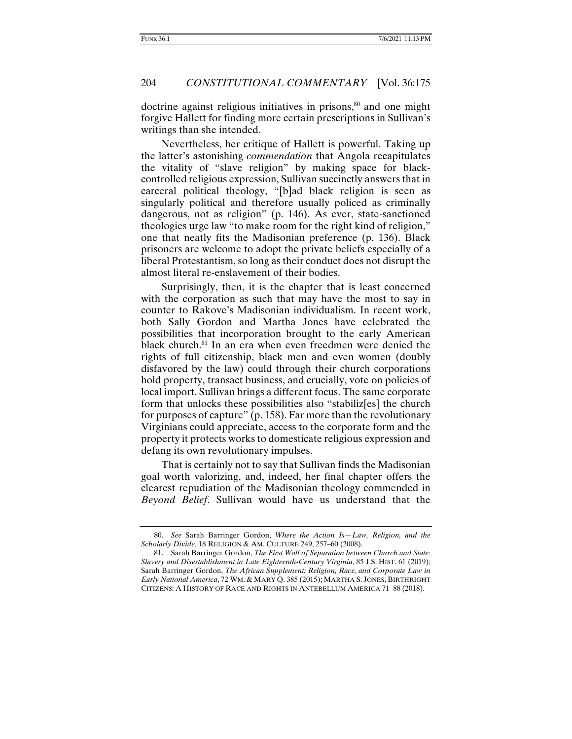doctrine against religious initiatives in prisons, $80$  and one might forgive Hallett for finding more certain prescriptions in Sullivan's writings than she intended.

Nevertheless, her critique of Hallett is powerful. Taking up the latter's astonishing *commendation* that Angola recapitulates the vitality of "slave religion" by making space for blackcontrolled religious expression, Sullivan succinctly answers that in carceral political theology, "[b]ad black religion is seen as singularly political and therefore usually policed as criminally dangerous, not as religion" (p. 146). As ever, state-sanctioned theologies urge law "to make room for the right kind of religion," one that neatly fits the Madisonian preference (p. 136). Black prisoners are welcome to adopt the private beliefs especially of a liberal Protestantism, so long as their conduct does not disrupt the almost literal re-enslavement of their bodies.

Surprisingly, then, it is the chapter that is least concerned with the corporation as such that may have the most to say in counter to Rakove's Madisonian individualism. In recent work, both Sally Gordon and Martha Jones have celebrated the possibilities that incorporation brought to the early American black church.<sup>81</sup> In an era when even freedmen were denied the rights of full citizenship, black men and even women (doubly disfavored by the law) could through their church corporations hold property, transact business, and crucially, vote on policies of local import. Sullivan brings a different focus. The same corporate form that unlocks these possibilities also "stabiliz[es] the church for purposes of capture" (p. 158). Far more than the revolutionary Virginians could appreciate, access to the corporate form and the property it protects works to domesticate religious expression and defang its own revolutionary impulses.

That is certainly not to say that Sullivan finds the Madisonian goal worth valorizing, and, indeed, her final chapter offers the clearest repudiation of the Madisonian theology commended in *Beyond Belief*. Sullivan would have us understand that the

 <sup>80.</sup> *See* Sarah Barringer Gordon, *Where the Action Is—Law, Religion, and the Scholarly Divide*, 18 RELIGION & AM. CULTURE 249, 257–60 (2008).

 <sup>81.</sup> Sarah Barringer Gordon, *The First Wall of Separation between Church and State: Slavery and Disestablishment in Late Eighteenth-Century Virginia*, 85 J.S. HIST. 61 (2019); Sarah Barringer Gordon, *The African Supplement: Religion, Race, and Corporate Law in Early National America*, 72 WM. & MARY Q. 385 (2015); MARTHA S. JONES, BIRTHRIGHT CITIZENS: A HISTORY OF RACE AND RIGHTS IN ANTEBELLUM AMERICA 71–88 (2018).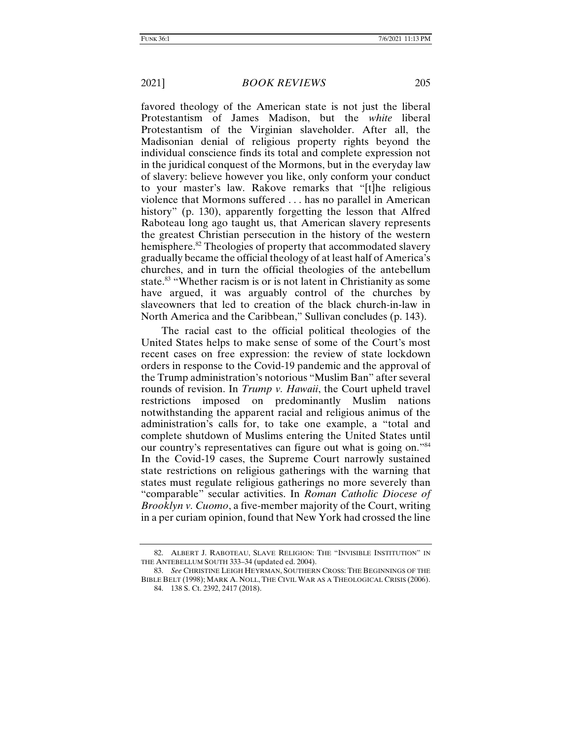favored theology of the American state is not just the liberal Protestantism of James Madison, but the *white* liberal Protestantism of the Virginian slaveholder. After all, the Madisonian denial of religious property rights beyond the individual conscience finds its total and complete expression not in the juridical conquest of the Mormons, but in the everyday law of slavery: believe however you like, only conform your conduct to your master's law. Rakove remarks that "[t]he religious violence that Mormons suffered . . . has no parallel in American history" (p. 130), apparently forgetting the lesson that Alfred Raboteau long ago taught us, that American slavery represents the greatest Christian persecution in the history of the western hemisphere.<sup>82</sup> Theologies of property that accommodated slavery gradually became the official theology of at least half of America's churches, and in turn the official theologies of the antebellum state.<sup>83</sup> "Whether racism is or is not latent in Christianity as some have argued, it was arguably control of the churches by slaveowners that led to creation of the black church-in-law in North America and the Caribbean," Sullivan concludes (p. 143).

The racial cast to the official political theologies of the United States helps to make sense of some of the Court's most recent cases on free expression: the review of state lockdown orders in response to the Covid-19 pandemic and the approval of the Trump administration's notorious "Muslim Ban" after several rounds of revision. In *Trump v. Hawaii*, the Court upheld travel restrictions imposed on predominantly Muslim nations notwithstanding the apparent racial and religious animus of the administration's calls for, to take one example, a "total and complete shutdown of Muslims entering the United States until our country's representatives can figure out what is going on."84 In the Covid-19 cases, the Supreme Court narrowly sustained state restrictions on religious gatherings with the warning that states must regulate religious gatherings no more severely than "comparable" secular activities. In *Roman Catholic Diocese of Brooklyn v. Cuomo*, a five-member majority of the Court, writing in a per curiam opinion, found that New York had crossed the line

 <sup>82.</sup> ALBERT J. RABOTEAU, SLAVE RELIGION: THE "INVISIBLE INSTITUTION" IN THE ANTEBELLUM SOUTH 333–34 (updated ed. 2004).

 <sup>83.</sup> *See* CHRISTINE LEIGH HEYRMAN, SOUTHERN CROSS: THE BEGINNINGS OF THE BIBLE BELT (1998); MARK A. NOLL, THE CIVIL WAR AS A THEOLOGICAL CRISIS (2006). 84. 138 S. Ct. 2392, 2417 (2018).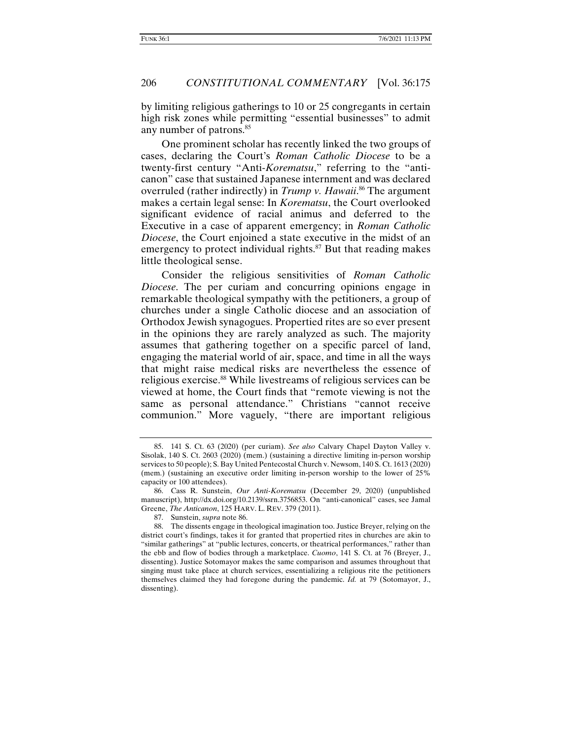by limiting religious gatherings to 10 or 25 congregants in certain high risk zones while permitting "essential businesses" to admit any number of patrons.<sup>85</sup>

One prominent scholar has recently linked the two groups of cases, declaring the Court's *Roman Catholic Diocese* to be a twenty-first century "Anti-*Korematsu*," referring to the "anticanon" case that sustained Japanese internment and was declared overruled (rather indirectly) in *Trump v. Hawaii*. 86 The argument makes a certain legal sense: In *Korematsu*, the Court overlooked significant evidence of racial animus and deferred to the Executive in a case of apparent emergency; in *Roman Catholic Diocese*, the Court enjoined a state executive in the midst of an emergency to protect individual rights. $87$  But that reading makes little theological sense.

Consider the religious sensitivities of *Roman Catholic Diocese*. The per curiam and concurring opinions engage in remarkable theological sympathy with the petitioners, a group of churches under a single Catholic diocese and an association of Orthodox Jewish synagogues. Propertied rites are so ever present in the opinions they are rarely analyzed as such. The majority assumes that gathering together on a specific parcel of land, engaging the material world of air, space, and time in all the ways that might raise medical risks are nevertheless the essence of religious exercise.<sup>88</sup> While livestreams of religious services can be viewed at home, the Court finds that "remote viewing is not the same as personal attendance." Christians "cannot receive communion." More vaguely, "there are important religious

 <sup>85. 141</sup> S. Ct. 63 (2020) (per curiam). *See also* Calvary Chapel Dayton Valley v. Sisolak, 140 S. Ct. 2603 (2020) (mem.) (sustaining a directive limiting in-person worship services to 50 people); S. Bay United Pentecostal Church v. Newsom, 140 S. Ct. 1613 (2020) (mem.) (sustaining an executive order limiting in-person worship to the lower of 25% capacity or 100 attendees).

 <sup>86.</sup> Cass R. Sunstein, *Our Anti-Korematsu* (December 29, 2020) (unpublished manuscript), http://dx.doi.org/10.2139/ssrn.3756853. On "anti-canonical" cases, see Jamal Greene, *The Anticanon*, 125 HARV. L. REV. 379 (2011).

 <sup>87.</sup> Sunstein, *supra* note 86.

 <sup>88.</sup> The dissents engage in theological imagination too. Justice Breyer, relying on the district court's findings, takes it for granted that propertied rites in churches are akin to "similar gatherings" at "public lectures, concerts, or theatrical performances," rather than the ebb and flow of bodies through a marketplace. *Cuomo*, 141 S. Ct. at 76 (Breyer, J., dissenting). Justice Sotomayor makes the same comparison and assumes throughout that singing must take place at church services, essentializing a religious rite the petitioners themselves claimed they had foregone during the pandemic. *Id.* at 79 (Sotomayor, J., dissenting).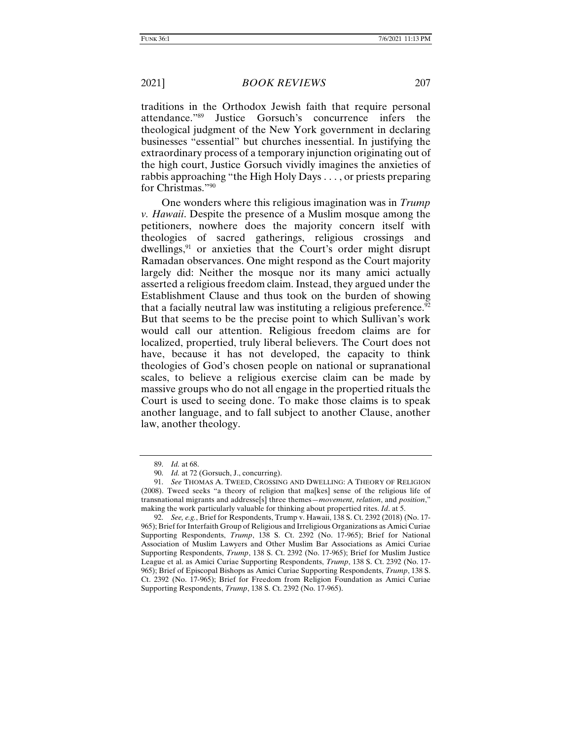traditions in the Orthodox Jewish faith that require personal attendance."<sup>89</sup> Justice Gorsuch's concurrence infers the Justice Gorsuch's concurrence infers the theological judgment of the New York government in declaring businesses "essential" but churches inessential. In justifying the extraordinary process of a temporary injunction originating out of the high court, Justice Gorsuch vividly imagines the anxieties of rabbis approaching "the High Holy Days . . . , or priests preparing for Christmas."90

One wonders where this religious imagination was in *Trump v. Hawaii*. Despite the presence of a Muslim mosque among the petitioners, nowhere does the majority concern itself with theologies of sacred gatherings, religious crossings and dwellings, $91$  or anxieties that the Court's order might disrupt Ramadan observances. One might respond as the Court majority largely did: Neither the mosque nor its many amici actually asserted a religious freedom claim. Instead, they argued under the Establishment Clause and thus took on the burden of showing that a facially neutral law was instituting a religious preference.  $92$ But that seems to be the precise point to which Sullivan's work would call our attention. Religious freedom claims are for localized, propertied, truly liberal believers. The Court does not have, because it has not developed, the capacity to think theologies of God's chosen people on national or supranational scales, to believe a religious exercise claim can be made by massive groups who do not all engage in the propertied rituals the Court is used to seeing done. To make those claims is to speak another language, and to fall subject to another Clause, another law, another theology.

 <sup>89.</sup> *Id.* at 68.

 <sup>90.</sup> *Id.* at 72 (Gorsuch, J., concurring).

 <sup>91.</sup> *See* THOMAS A. TWEED, CROSSING AND DWELLING: A THEORY OF RELIGION (2008). Tweed seeks "a theory of religion that ma[kes] sense of the religious life of transnational migrants and addresse[s] three themes—*movement*, *relation*, and *position*," making the work particularly valuable for thinking about propertied rites. *Id*. at 5.

 <sup>92.</sup> *See, e.g.*, Brief for Respondents, Trump v. Hawaii, 138 S. Ct. 2392 (2018) (No. 17- 965); Brief for Interfaith Group of Religious and Irreligious Organizations as Amici Curiae Supporting Respondents, *Trump*, 138 S. Ct. 2392 (No. 17-965); Brief for National Association of Muslim Lawyers and Other Muslim Bar Associations as Amici Curiae Supporting Respondents, *Trump*, 138 S. Ct. 2392 (No. 17-965); Brief for Muslim Justice League et al. as Amici Curiae Supporting Respondents, *Trump*, 138 S. Ct. 2392 (No. 17- 965); Brief of Episcopal Bishops as Amici Curiae Supporting Respondents, *Trump*, 138 S. Ct. 2392 (No. 17-965); Brief for Freedom from Religion Foundation as Amici Curiae Supporting Respondents, *Trump*, 138 S. Ct. 2392 (No. 17-965).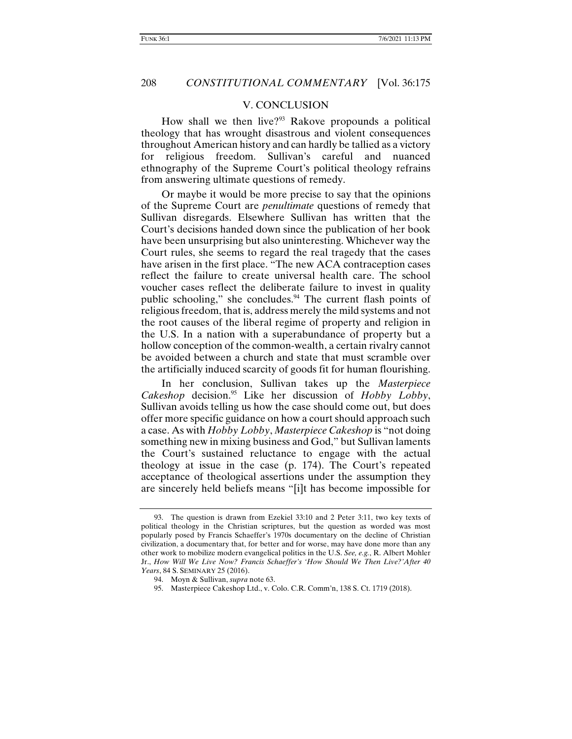#### V. CONCLUSION

How shall we then live? $93$  Rakove propounds a political theology that has wrought disastrous and violent consequences throughout American history and can hardly be tallied as a victory for religious freedom. Sullivan's careful and nuanced ethnography of the Supreme Court's political theology refrains from answering ultimate questions of remedy.

Or maybe it would be more precise to say that the opinions of the Supreme Court are *penultimate* questions of remedy that Sullivan disregards. Elsewhere Sullivan has written that the Court's decisions handed down since the publication of her book have been unsurprising but also uninteresting. Whichever way the Court rules, she seems to regard the real tragedy that the cases have arisen in the first place. "The new ACA contraception cases reflect the failure to create universal health care. The school voucher cases reflect the deliberate failure to invest in quality public schooling," she concludes.<sup>94</sup> The current flash points of religious freedom, that is, address merely the mild systems and not the root causes of the liberal regime of property and religion in the U.S. In a nation with a superabundance of property but a hollow conception of the common-wealth, a certain rivalry cannot be avoided between a church and state that must scramble over the artificially induced scarcity of goods fit for human flourishing.

In her conclusion, Sullivan takes up the *Masterpiece Cakeshop* decision.95 Like her discussion of *Hobby Lobby*, Sullivan avoids telling us how the case should come out, but does offer more specific guidance on how a court should approach such a case. As with *Hobby Lobby*, *Masterpiece Cakeshop* is "not doing something new in mixing business and God," but Sullivan laments the Court's sustained reluctance to engage with the actual theology at issue in the case (p. 174). The Court's repeated acceptance of theological assertions under the assumption they are sincerely held beliefs means "[i]t has become impossible for

 <sup>93.</sup> The question is drawn from Ezekiel 33:10 and 2 Peter 3:11, two key texts of political theology in the Christian scriptures, but the question as worded was most popularly posed by Francis Schaeffer's 1970s documentary on the decline of Christian civilization, a documentary that, for better and for worse, may have done more than any other work to mobilize modern evangelical politics in the U.S. *See, e.g.*, R. Albert Mohler Jr., *How Will We Live Now? Francis Schaeffer's 'How Should We Then Live?'After 40 Years*, 84 S. SEMINARY 25 (2016).

 <sup>94.</sup> Moyn & Sullivan, *supra* note 63.

 <sup>95.</sup> Masterpiece Cakeshop Ltd., v. Colo. C.R. Comm'n, 138 S. Ct. 1719 (2018).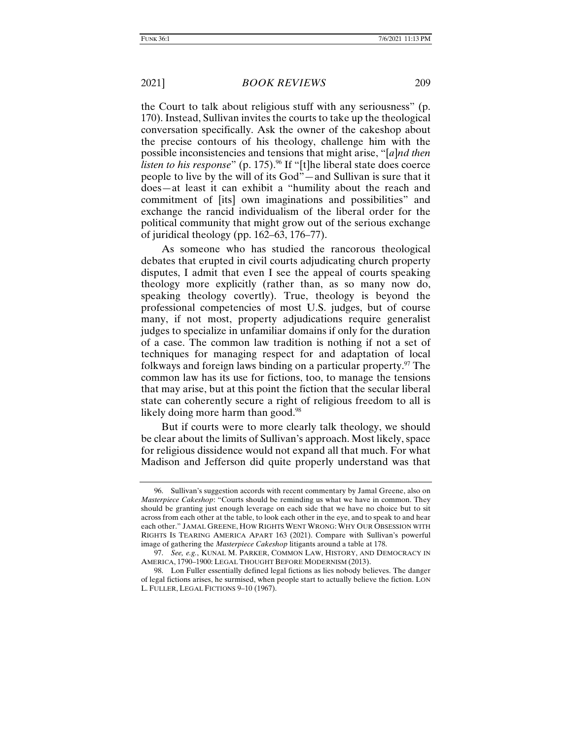the Court to talk about religious stuff with any seriousness" (p. 170). Instead, Sullivan invites the courts to take up the theological conversation specifically. Ask the owner of the cakeshop about the precise contours of his theology, challenge him with the possible inconsistencies and tensions that might arise, "[*a*]*nd then listen to his response*" (p. 175).<sup>96</sup> If "[t]he liberal state does coerce people to live by the will of its God"—and Sullivan is sure that it does—at least it can exhibit a "humility about the reach and commitment of [its] own imaginations and possibilities" and exchange the rancid individualism of the liberal order for the political community that might grow out of the serious exchange of juridical theology (pp. 162–63, 176–77).

As someone who has studied the rancorous theological debates that erupted in civil courts adjudicating church property disputes, I admit that even I see the appeal of courts speaking theology more explicitly (rather than, as so many now do, speaking theology covertly). True, theology is beyond the professional competencies of most U.S. judges, but of course many, if not most, property adjudications require generalist judges to specialize in unfamiliar domains if only for the duration of a case. The common law tradition is nothing if not a set of techniques for managing respect for and adaptation of local folkways and foreign laws binding on a particular property.  $97$  The common law has its use for fictions, too, to manage the tensions that may arise, but at this point the fiction that the secular liberal state can coherently secure a right of religious freedom to all is likely doing more harm than good.<sup>98</sup>

But if courts were to more clearly talk theology, we should be clear about the limits of Sullivan's approach. Most likely, space for religious dissidence would not expand all that much. For what Madison and Jefferson did quite properly understand was that

 <sup>96.</sup> Sullivan's suggestion accords with recent commentary by Jamal Greene, also on *Masterpiece Cakeshop*: "Courts should be reminding us what we have in common. They should be granting just enough leverage on each side that we have no choice but to sit across from each other at the table, to look each other in the eye, and to speak to and hear each other." JAMAL GREENE, HOW RIGHTS WENT WRONG: WHY OUR OBSESSION WITH RIGHTS IS TEARING AMERICA APART 163 (2021). Compare with Sullivan's powerful image of gathering the *Masterpiece Cakeshop* litigants around a table at 178.

 <sup>97.</sup> *See, e.g.*, KUNAL M. PARKER, COMMON LAW, HISTORY, AND DEMOCRACY IN AMERICA, 1790–1900: LEGAL THOUGHT BEFORE MODERNISM (2013).

 <sup>98.</sup> Lon Fuller essentially defined legal fictions as lies nobody believes. The danger of legal fictions arises, he surmised, when people start to actually believe the fiction. LON L. FULLER, LEGAL FICTIONS 9–10 (1967).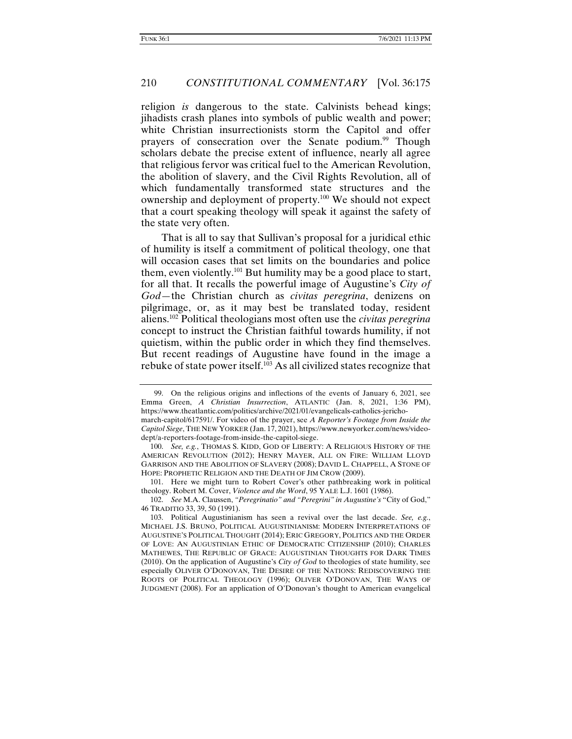religion *is* dangerous to the state. Calvinists behead kings; jihadists crash planes into symbols of public wealth and power; white Christian insurrectionists storm the Capitol and offer prayers of consecration over the Senate podium.<sup>99</sup> Though scholars debate the precise extent of influence, nearly all agree that religious fervor was critical fuel to the American Revolution, the abolition of slavery, and the Civil Rights Revolution, all of which fundamentally transformed state structures and the ownership and deployment of property.100 We should not expect that a court speaking theology will speak it against the safety of the state very often.

That is all to say that Sullivan's proposal for a juridical ethic of humility is itself a commitment of political theology, one that will occasion cases that set limits on the boundaries and police them, even violently.<sup>101</sup> But humility may be a good place to start, for all that. It recalls the powerful image of Augustine's *City of God*—the Christian church as *civitas peregrina*, denizens on pilgrimage, or, as it may best be translated today, resident aliens.102 Political theologians most often use the *civitas peregrina* concept to instruct the Christian faithful towards humility, if not quietism, within the public order in which they find themselves. But recent readings of Augustine have found in the image a rebuke of state power itself.<sup>103</sup> As all civilized states recognize that

 101. Here we might turn to Robert Cover's other pathbreaking work in political theology. Robert M. Cover, *Violence and the Word*, 95 YALE L.J. 1601 (1986).

 <sup>99.</sup> On the religious origins and inflections of the events of January 6, 2021, see Emma Green, *A Christian Insurrection*, ATLANTIC (Jan. 8, 2021, 1:36 PM), https://www.theatlantic.com/politics/archive/2021/01/evangelicals-catholics-jerichomarch-capitol/617591/. For video of the prayer, see *A Reporter's Footage from Inside the* 

*Capitol Siege*, THE NEW YORKER (Jan. 17, 2021), https://www.newyorker.com/news/videodept/a-reporters-footage-from-inside-the-capitol-siege.

 <sup>100.</sup> *See, e.g.*, THOMAS S. KIDD, GOD OF LIBERTY: A RELIGIOUS HISTORY OF THE AMERICAN REVOLUTION (2012); HENRY MAYER, ALL ON FIRE: WILLIAM LLOYD GARRISON AND THE ABOLITION OF SLAVERY (2008); DAVID L. CHAPPELL, A STONE OF HOPE: PROPHETIC RELIGION AND THE DEATH OF JIM CROW (2009).

 <sup>102.</sup> *See* M.A. Claussen, *"Peregrinatio" and "Peregrini" in Augustine's* "City of God," 46 TRADITIO 33, 39, 50 (1991).

 <sup>103.</sup> Political Augustinianism has seen a revival over the last decade. *See, e.g.*, MICHAEL J.S. BRUNO, POLITICAL AUGUSTINIANISM: MODERN INTERPRETATIONS OF AUGUSTINE'S POLITICAL THOUGHT (2014); ERIC GREGORY, POLITICS AND THE ORDER OF LOVE: AN AUGUSTINIAN ETHIC OF DEMOCRATIC CITIZENSHIP (2010); CHARLES MATHEWES, THE REPUBLIC OF GRACE: AUGUSTINIAN THOUGHTS FOR DARK TIMES (2010). On the application of Augustine's *City of God* to theologies of state humility, see especially OLIVER O'DONOVAN, THE DESIRE OF THE NATIONS: REDISCOVERING THE ROOTS OF POLITICAL THEOLOGY (1996); OLIVER O'DONOVAN, THE WAYS OF JUDGMENT (2008). For an application of O'Donovan's thought to American evangelical